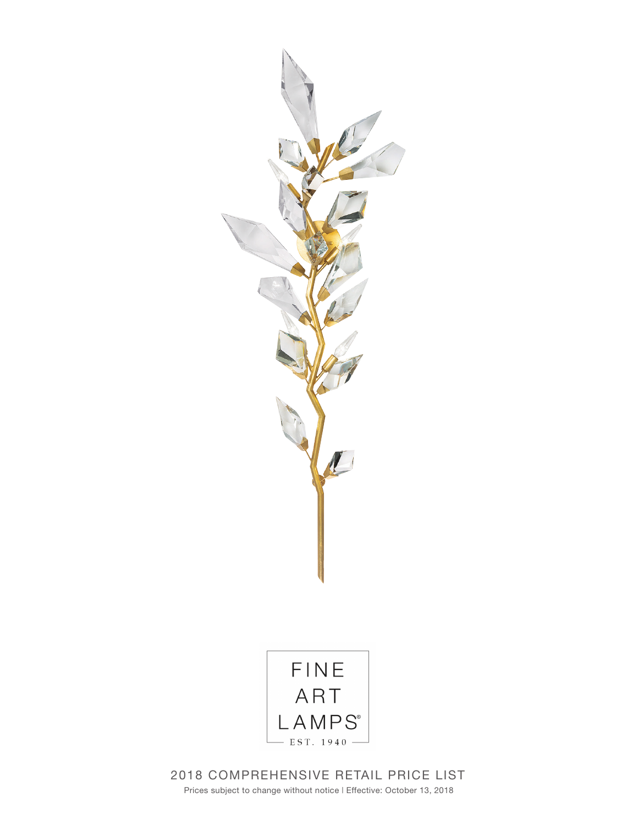



2018 COMPREHENSIVE RETAIL PRICE LIST Prices subject to change without notice | Effective: October 13, 2018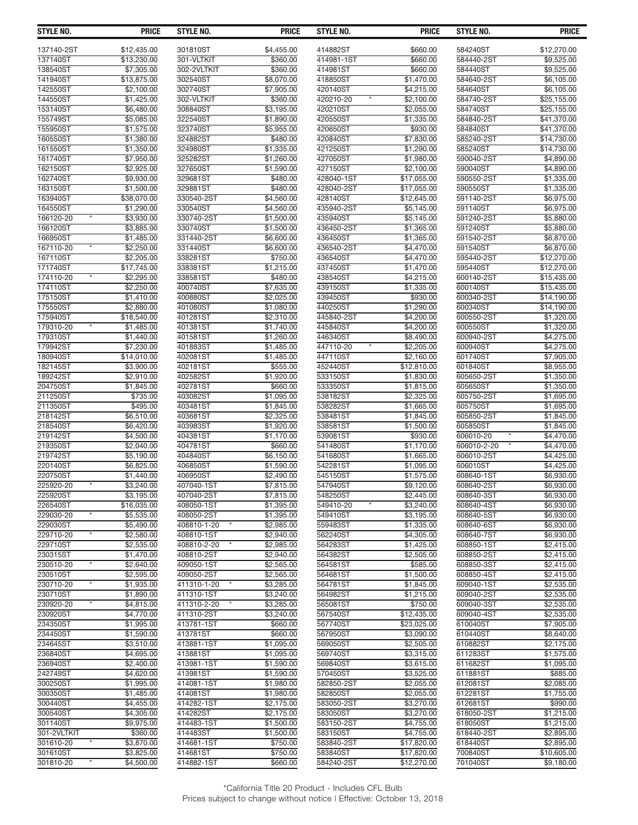| <b>STYLE NO.</b>                 | <b>PRICE</b>              | STYLE NO.                 | <b>PRICE</b>             | STYLE NO.              | <b>PRICE</b>               | STYLE NO.                | <b>PRICE</b>               |
|----------------------------------|---------------------------|---------------------------|--------------------------|------------------------|----------------------------|--------------------------|----------------------------|
| 137140-2ST                       | \$12,435.00               | 301810ST                  | \$4,455.00               | 414882ST               | \$660.00                   | 584240ST                 | \$12,270.00                |
| 137140ST                         | \$13,230.00               | 301-VLTKIT                | \$360.00                 | 414981-1ST             | \$660.00                   | 584440-2ST               | \$9,525.00                 |
| 138540ST                         | \$7,305.00                | 302-2VLTKIT               | \$360.00                 | 414981ST               | \$660.00                   | 584440ST                 | \$9,525.00                 |
| 141940ST                         | \$13,875.00               | 302540ST                  | \$8,070.00               | 418850ST               | \$1,470.00                 | 584640-2ST               | \$6,105.00                 |
| 142550ST                         | \$2,100.00                | 302740ST                  | \$7,905.00               | 420140ST               | \$4,215.00                 | 584640ST                 | \$6,105.00                 |
| 144550ST                         | \$1.425.00                | 302-VLTKIT                | \$360.00                 | 420210-20              | \$2,100.00                 | 584740-2ST               | \$25.155.00                |
| 153140ST                         | \$6,480.00                | 308840ST                  | \$3,195.00               | 420210ST               | \$2,055.00                 | 584740ST                 | \$25,155.00                |
| 155749ST                         | \$5,085.00                | 322540ST                  | \$1,890.00               | 420550ST               | \$1,335.00                 | 584840-2ST               | \$41,370.00                |
| 155950ST                         | \$1,575.00                | 323740ST                  | $\overline{$5,955.00}$   | 420650ST               | \$930.00                   | 584840ST                 | \$41,370.00                |
| 160550ST                         | \$1.380.00                | 324882ST                  | \$480.00                 | 420840ST               | \$7,830.00                 | 585240-2ST               | \$14,730.00                |
| 161550ST<br>161740ST             | \$1,350.00<br>\$7,950.00  | 324980ST<br>325282ST      | \$1,335.00<br>\$1,260.00 | 421250ST<br>427050ST   | \$1,290.00<br>\$1,980.00   | 585240ST<br>590040-2ST   | \$14,730.00<br>\$4,890.00  |
| 162150ST                         | \$2,925.00                | 327650ST                  | \$1,590.00               | 427150ST               | \$2,100.00                 | 590040ST                 | \$4,890.00                 |
| 162740ST                         | \$9,930.00                | 329681ST                  | \$480.00                 | 428040-1ST             | \$17.055.00                | 590550-2ST               | \$1,335.00                 |
| 163150ST                         | \$1,500.00                | 329881ST                  | \$480.00                 | 428040-2ST             | \$17,055.00                | 590550ST                 | \$1,335.00                 |
| 163940ST                         | \$38,070.00               | 330540-2ST                | \$4,560.00               | 428140ST               | \$12,645.00                | 591140-2ST               | \$6,975.00                 |
| 164550ST                         | \$1,290.00                | 330540ST                  | \$4,560.00               | 435940-2ST             | \$5,145.00                 | 591140ST                 | \$6,975.00                 |
| 166120-20                        | \$3,930.00                | 330740-2ST                | \$1,500.00               | 435940ST               | \$5,145.00                 | 591240-2ST               | \$5,880.00                 |
| 166120ST                         | \$3,885.00                | 330740ST                  | \$1,500.00               | 436450-2ST             | \$1,365.00                 | 591240ST                 | \$5,880.00                 |
| 166950ST                         | \$1,485.00                | 331440-2ST                | \$6,600.00               | 436450ST               | \$1,365.00                 | 591540-2ST               | \$6,870.00                 |
| 167110-20                        | \$2,250.00                | 331440ST                  | \$6,600.00               | 436540-2ST             | \$4,470.00                 | 591540ST                 | \$6,870.00                 |
| 167110ST<br>171740ST             | \$2,205.00                | 338281ST<br>338381ST      | \$750.00                 | 436540ST<br>437450ST   | \$4,470.00<br>\$1,470.00   | 595440-2ST<br>595440ST   | \$12,270.00                |
| 174110-20                        | \$17,745.00<br>\$2,295.00 | 338581ST                  | \$1,215.00<br>\$480.00   | 438540ST               | \$4,215.00                 | 600140-2ST               | \$12,270.00<br>\$15,435.00 |
| 174110ST                         | \$2,250.00                | 400740ST                  | \$7,635.00               | 439150ST               | \$1,335.00                 | 600140ST                 | \$15,435.00                |
| 175150ST                         | \$1,410.00                | 400880ST                  | \$2,025.00               | 439450ST               | \$930.00                   | 600340-2ST               | \$14,190.00                |
| 175550ST                         | \$2,880.00                | 401080ST                  | \$1,080.00               | 440250ST               | \$1,290.00                 | 600340ST                 | \$14,190.00                |
| 175940ST                         | \$18,540.00               | 401281ST                  | \$2,310.00               | 445840-2ST             | \$4,200.00                 | 600550-2ST               | \$1,320.00                 |
| 179310-20                        | \$1,485.00                | 401381ST                  | \$1,740.00               | 445840ST               | \$4.200.00                 | 600550ST                 | \$1,320.00                 |
| 179310ST                         | \$1,440.00                | 401581ST                  | \$1,260.00               | 446340ST               | \$8,490.00                 | 600940-2ST               | \$4,275.00                 |
| 179942ST                         | \$7,230.00                | 401883ST                  | \$1,485.00               | 447110-20              | \$2,205.00                 | 600940ST                 | \$4,275.00                 |
| 180940ST                         | \$14,010.00               | 402081ST                  | \$1,485.00               | 447110ST               | \$2,160.00                 | 601740ST                 | \$7,905.00                 |
| 182145ST                         | \$3,900.00                | 402181ST                  | \$555.00                 | 452440ST               | \$12,810.00                | 601840ST                 | \$8,955.00                 |
| 189242ST<br>204750ST             | \$2,910.00<br>\$1,845.00  | 402582ST<br>402781ST      | \$1,920.00<br>\$660.00   | 533150ST<br>533350ST   | \$1,830.00<br>\$1,815.00   | 605650-2ST<br>605650ST   | \$1,350.00<br>\$1,350.00   |
| 211250ST                         | \$735.00                  | 403082ST                  | \$1,095.00               | 538182ST               | \$2,325.00                 | 605750-2ST               | \$1,695.00                 |
| 211350ST                         | \$495.00                  | 403481ST                  | \$1,845.00               | 538282ST               | \$1,665.00                 | 605750ST                 | \$1,695.00                 |
| 218142ST                         | \$6,510.00                | 403681ST                  | \$2,325.00               | 538481ST               | \$1,845.00                 | 605850-2ST               | \$1,845.00                 |
| 218540ST                         | \$6,420.00                | 403983ST                  | \$1,920.00               | 538581ST               | \$1,500.00                 | 605850ST                 | \$1,845.00                 |
| 219142ST                         | \$4,500.00                | 404381ST                  | \$1,170.00               | 539081ST               | \$930.00                   | 606010-20                | \$4,470.00                 |
| 219350ST                         | \$2,040.00                | 404781ST                  | \$660.00                 | 541480ST               | \$1,170.00                 | 606010-2-20              | \$4,470.00                 |
| 219742ST                         | \$5,190.00                | 404840ST                  | \$6,150.00               | 541680ST               | \$1.665.00                 | 606010-2ST               | \$4,425.00                 |
| 220140ST                         | \$6,825.00                | 406850ST                  | \$1.590.00               | 542281ST               | \$1,095.00                 | 606010ST                 | \$4,425.00                 |
| 220750ST                         | \$1,440.00                | 406950ST                  | \$2,490.00               | 545150ST               | \$1,575.00                 | 608640-1ST               | \$6,930.00                 |
| 225920-20                        | \$3,240.00                | 407040-1ST                | $\overline{$7,815.00}$   | 547940ST               | \$9,120.00                 | 608640-2ST               | \$6,930.00                 |
| 225920ST<br>226540ST             | \$3,195.00<br>\$16,035.00 | 407040-2ST<br>408050-1ST  | \$7,815.00<br>\$1,395.00 | 548250ST<br>549410-20  | \$2,445.00<br>\$3,240.00   | 608640-3ST<br>608640-4ST | \$6,930.00<br>\$6,930.00   |
| 229030-20                        | \$5,535.00                | 408050-2ST                | \$1,395.00               | 549410ST               | \$3,195.00                 | 608640-5ST               | \$6,930.00                 |
| 229030ST                         | \$5,490.00                | 408810-1-20               | \$2.985.00               | 559483ST               | \$1,335.00                 | 608640-6ST               | \$6,930.00                 |
| 229710-20                        | \$2,580.00                | 408810-1ST                | \$2,940.00               | 562240ST               | \$4,305.00                 | 608640-7ST               | \$6,930.00                 |
| 229710ST                         | \$2,535.00                | 408810-2-20               | \$2,985.00               | 564283ST               | \$1,425.00                 | 608850-1ST               | \$2,415.00                 |
| 230315ST                         | \$1,470.00                | 408810-2ST                | \$2,940.00               | 564382ST               | \$2,505.00                 | 608850-2ST               | \$2,415.00                 |
| 230510-20<br>$\pmb{\ast}$        | \$2,640.00                | 409050-1ST                | \$2,565.00               | 564581ST               | \$585.00                   | 608850-3ST               | \$2,415.00                 |
| 230510ST                         | \$2,595.00                | 409050-2ST                | $\overline{$2,565.00}$   | 564681ST               | \$1,500.00                 | 608850-4ST               | \$2,415.00                 |
| 230710-20                        | \$1,935.00                | 411310-1-20               | \$3,285.00               | 564781ST               | \$1,845.00                 | 609040-1ST               | \$2,535.00                 |
| 230710ST                         | \$1,890.00                | 411310-1ST                | \$3,240.00               | 564982ST               | \$1,215.00                 | 609040-2ST               | \$2,535.00                 |
| 230920-20<br>230920ST            | \$4,815.00<br>\$4,770.00  | 411310-2-20<br>411310-2ST | \$3,285.00               | 565081ST<br>567540ST   | \$750.00<br>\$12,435.00    | 609040-3ST               | \$2,535.00<br>\$2,535.00   |
| 234350ST                         | \$1,995.00                | 413781-1ST                | \$3,240.00<br>\$660.00   | 567740ST               | \$23,025.00                | 609040-4ST<br>610040ST   | \$7,905.00                 |
| 234450ST                         | \$1,590.00                | 413781ST                  | \$660.00                 | 567950ST               | \$3,090.00                 | 610440ST                 | \$8,640.00                 |
| 234645ST                         | \$3,510.00                | 413881-1ST                | \$1,095.00               | 569050ST               | \$2,505.00                 | 610882ST                 | \$2,175.00                 |
| 236840ST                         | \$4,695.00                | 413881ST                  | \$1,095.00               | 569740ST               | \$3,315.00                 | 611283ST                 | \$1,575.00                 |
| 236940ST                         | \$2,400.00                | 413981-1ST                | \$1,590.00               | 569840ST               | \$3,615.00                 | 611682ST                 | \$1,095.00                 |
| 242749ST                         | \$4,620.00                | 413981ST                  | \$1,590.00               | 570450ST               | \$3,525.00                 | 611881ST                 | \$885.00                   |
| 300250ST                         | \$1,995.00                | 414081-1ST                | \$1,980.00               | 582850-2ST             | \$2,055.00                 | 612081ST                 | \$2,085.00                 |
| 300350ST                         | \$1,485.00                | 414081ST                  | \$1,980.00               | 582850ST               | \$2,055.00                 | 612281ST                 | \$1,755.00                 |
| 300440ST                         | \$4,455.00                | 414282-1ST                | \$2,175.00               | 583050-2ST             | \$3,270.00                 | 612681ST                 | \$990.00                   |
| 300540ST                         | \$4,305.00                | 414282ST                  | \$2,175.00               | 583050ST               | \$3,270.00                 | 618050-2ST               | \$1,215.00                 |
| 301140ST                         | \$9,975.00                | 414483-1ST                | \$1,500.00               | 583150-2ST             | \$4,755.00                 | 618050ST                 | \$1,215.00                 |
| 301-2VLTKIT                      | \$360.00                  | 414483ST                  | \$1,500.00               | 583150ST               | \$4,755.00                 | 618440-2ST               | \$2,895.00                 |
| 301610-20                        | \$3,870.00                | 414681-1ST                | \$750.00<br>\$750.00     | 583840-2ST             | \$17,820.00                | 618440ST                 | \$2,895.00                 |
| 301610ST<br>301810-20<br>$\star$ | \$3,825.00<br>\$4,500.00  | 414681ST<br>414882-1ST    | \$660.00                 | 583840ST<br>584240-2ST | \$17,820.00<br>\$12,270.00 | 700840ST<br>701040ST     | \$10,605.00<br>\$9,180.00  |
|                                  |                           |                           |                          |                        |                            |                          |                            |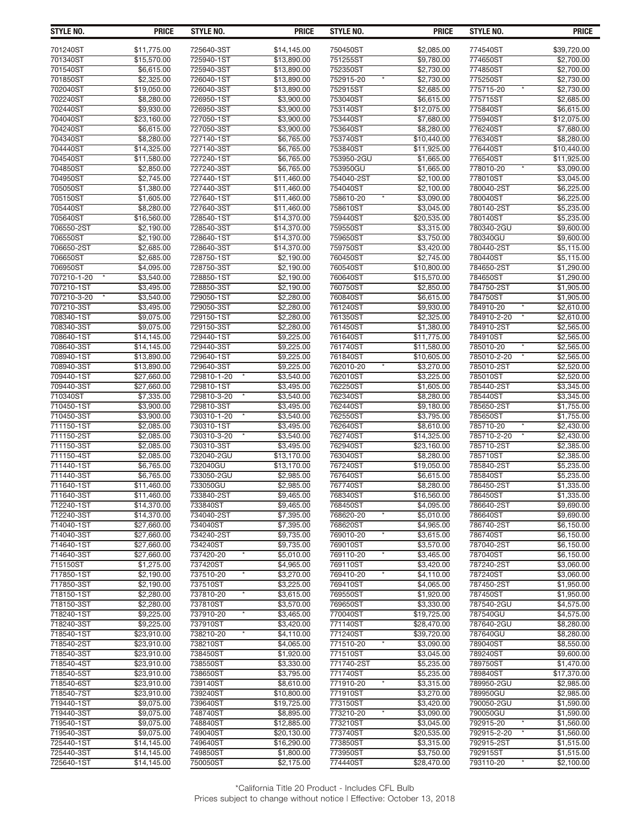| STYLE NO.                | <b>PRICE</b>                    | <b>STYLE NO.</b>          | <b>PRICE</b>              | <b>STYLE NO.</b>      | <b>PRICE</b>              | STYLE NO.              | <b>PRICE</b>               |
|--------------------------|---------------------------------|---------------------------|---------------------------|-----------------------|---------------------------|------------------------|----------------------------|
| 701240ST                 | \$11,775.00                     | 725640-3ST                | \$14,145.00               | 750450ST              | \$2,085.00                | 774540ST               | \$39,720.00                |
| 701340ST                 | \$15,570.00                     | 725940-1ST                | \$13,890.00               | 751255ST              | \$9,780.00                | 774650ST               | \$2,700.00                 |
| 701540ST                 | \$6,615.00                      | 725940-3ST                | \$13,890.00               | 752350ST              | \$2,730.00                | 774850ST               | \$2,700.00                 |
| 701850ST                 | \$2,325.00                      | 726040-1ST                | \$13,890.00               | 752915-20             | \$2,730.00                | 775250ST               | \$2,730.00                 |
| 702040ST                 | \$19,050.00                     | 726040-3ST                | \$13,890.00               | 752915ST              | \$2,685.00                | 775715-20              | \$2,730.00                 |
| 702240ST                 | \$8,280,00                      | 726950-1ST                | \$3,900.00                | 753040ST              | \$6,615.00                | 775715ST               | \$2,685.00                 |
| 702440ST                 | \$9,930.00                      | 726950-3ST                | \$3,900.00                | 753140ST              | \$12,075.00               | 775840ST               | \$6,615.00                 |
| 704040ST                 | \$23,160.00                     | 727050-1ST                | \$3,900.00                | 753440ST              | \$7,680.00                | 775940ST               | \$12,075.00                |
| 704240ST                 | \$6,615.00                      | 727050-3ST                | \$3,900.00                | 753640ST              | \$8,280.00                | 776240ST               | \$7,680.00                 |
| 704340ST<br>704440ST     | \$8,280.00                      | 727140-1ST<br>727140-3ST  | \$6,765.00                | 753740ST<br>753840ST  | \$10,440.00               | 776340ST<br>776440ST   | \$8,280.00                 |
| 704540ST                 | \$14,325.00<br>\$11,580.00      | 727240-1ST                | \$6,765.00<br>\$6,765.00  | 753950-2GU            | \$11,925.00<br>\$1,665.00 | 776540ST               | \$10,440.00<br>\$11,925.00 |
| 704850ST                 | \$2,850.00                      | 727240-3ST                | \$6,765.00                | 753950GU              | \$1,665.00                | 778010-20              | \$3,090.00                 |
| 704950ST                 | \$2,745.00                      | 727440-1ST                | \$1,460.00                | 754040-2ST            | \$2,100.00                | 778010ST               | \$3,045.00                 |
| 705050ST                 | \$1,380.00                      | 727440-3ST                | \$11,460.00               | 754040ST              | \$2,100.00                | 780040-2ST             | \$6,225.00                 |
| 705150ST                 | \$1,605.00                      | 727640-1ST                | \$11,460.00               | 758610-20             | \$3,090.00                | 780040ST               | \$6,225.00                 |
| 705440ST                 | \$8,280.00                      | 727640-3ST                | \$11,460.00               | 758610ST              | \$3,045.00                | 780140-2ST             | \$5,235.00                 |
| 705640ST                 | \$16,560.00                     | 728540-1ST                | \$14,370.00               | 759440ST              | \$20,535.00               | 780140ST               | \$5,235.00                 |
| 706550-2ST               | \$2,190.00                      | 728540-3ST                | \$14,370.00               | 759550ST              | \$3,315.00                | 780340-2GU             | \$9,600.00                 |
| 706550ST                 | \$2,190.00                      | 728640-1ST                | \$14,370.00               | 759650ST              | \$3,750.00                | 780340GU               | \$9,600.00                 |
| 706650-2ST               | \$2,685.00                      | 728640-3ST                | \$14,370.00               | 759750ST              | \$3.420.00                | 780440-2ST             | \$5,115.00                 |
| 706650ST<br>706950ST     | \$2,685.00<br>$\sqrt{4,095.00}$ | 728750-1ST<br>728750-3ST  | \$2,190.00<br>\$2,190.00  | 760450ST<br>760540ST  | \$2,745.00<br>\$10,800.00 | 780440ST<br>784650-2ST | \$5,115.00<br>\$1,290.00   |
| 707210-1-20              | \$3,540.00                      | 728850-1ST                | \$2,190.00                | 760640ST              | \$15,570.00               | 784650ST               | \$1,290.00                 |
| 707210-1ST               | \$3,495.00                      | 728850-3ST                | \$2,190.00                | 760750ST              | \$2,850.00                | 784750-2ST             | \$1,905.00                 |
| 707210-3-20              | \$3,540.00                      | 729050-1ST                | \$2,280.00                | 760840ST              | \$6,615.00                | 784750ST               | \$1,905.00                 |
| 707210-3ST               | \$3,495.00                      | 729050-3ST                | \$2,280.00                | 761240ST              | \$9,930.00                | 784910-20              | \$2,610.00                 |
| 708340-1ST               | \$9,075.00                      | 729150-1ST                | \$2,280.00                | 761350ST              | \$2,325.00                | 784910-2-20            | \$2,610.00                 |
| 708340-3ST               | \$9,075.00                      | 729150-3ST                | \$2,280.00                | 761450ST              | \$1,380.00                | 784910-2ST             | \$2,565.00                 |
| 708640-1ST               | \$14,145.00                     | 729440-1ST                | \$9,225.00                | 761640ST              | \$11,775.00               | 784910ST               | \$2,565.00                 |
| 708640-3ST               | \$14,145.00                     | 729440-3ST                | \$9,225.00                | 761740ST              | \$11,580.00               | 785010-20              | \$2,565.00                 |
| 708940-1ST               | \$13,890.00                     | 729640-1ST                | \$9,225.00                | 761840ST              | \$10,605.00               | 785010-2-20            | \$2,565.00                 |
| 708940-3ST<br>709440-1ST | \$13,890.00                     | 729640-3ST<br>729810-1-20 | \$9,225.00                | 762010-20<br>762010ST | \$3,270.00<br>\$3,225.00  | 785010-2ST<br>785010ST | \$2,520.00<br>\$2,520.00   |
| 709440-3ST               | \$27,660.00<br>\$27,660.00      | 729810-1ST                | \$3,540.00<br>\$3,495.00  | 762250ST              | \$1,605.00                | 785440-2ST             | \$3,345.00                 |
| 710340ST                 | \$7,335.00                      | 729810-3-20               | \$3,540.00                | 762340ST              | \$8,280.00                | 785440ST               | \$3,345.00                 |
| 710450-1ST               | \$3,900.00                      | 729810-3ST                | \$3,495.00                | 762440ST              | \$9,180.00                | 785650-2ST             | \$1,755.00                 |
| 710450-3ST               | \$3,900.00                      | 730310-1-20               | \$3,540.00                | 762550ST              | \$3,795.00                | 785650ST               | \$1,755.00                 |
| 711150-1ST               | \$2,085.00                      | 730310-1ST                | \$3,495.00                | 762640ST              | \$8,610.00                | 785710-20              | \$2,430.00                 |
| 711150-2ST               | \$2,085.00                      | 730310-3-20               | \$3,540.00                | 762740ST              | \$14,325.00               | 785710-2-20            | \$2,430.00                 |
| 711150-3ST               | \$2,085.00                      | 730310-3ST                | \$3,495.00                | 762940ST              | \$23,160.00               | 785710-2ST             | \$2,385.00                 |
| 711150-4ST               | \$2,085.00                      | 732040-2GU                | \$13,170.00               | 763040ST              | \$8,280.00                | 785710ST               | \$2,385.00                 |
| 711440-1ST               | \$6,765.00                      | 732040GU                  | \$13,170.00               | 767240ST              | \$19,050.00               | 785840-2ST             | \$5,235.00                 |
| 711440-3ST               | \$6,765.00                      | 733050-2GU                | \$2,985.00                | 767640ST              | \$6,615.00                | 785840ST               | \$5,235.00                 |
| 711640-1ST<br>711640-3ST | \$11,460.00<br>\$11,460.00      | 733050GU<br>733840-2ST    | \$2,985.00<br>\$9,465.00  | 767740ST<br>768340ST  | \$8,280.00<br>\$16,560.00 | 786450-2ST<br>786450ST | \$1,335.00<br>\$1,335.00   |
| 712240-1ST               | \$14,370.00                     | 733840ST                  | \$9,465.00                | 768450ST              | \$4,095.00                | 786640-2ST             | \$9,690.00                 |
| 712240-3ST               | \$14,370.00                     | 734040-2ST                | \$7,395.00                | 768620-20             | \$5,010.00                | 786640ST               | \$9,690.00                 |
| 714040-1ST               | \$27,660.00                     | 734040ST                  | \$7,395.00                | 768620ST              | \$4,965.00                | 786740-2ST             | \$6,150.00                 |
| 714040-3ST               | \$27,660.00                     | 734240-2ST                | \$9,735.00                | 769010-20             | \$3,615.00                | 786740ST               | \$6,150.00                 |
| 714640-1ST               | \$27,660.00                     | 734240ST                  | \$9,735.00                | 769010ST              | \$3.570.00                | 787040-2ST             | \$6,150.00                 |
| 714640-3ST               | \$27,660.00                     | 737420-20<br>$\pmb{\ast}$ | \$5,010.00                | 769110-20             | \$3,465.00                | 787040ST               | \$6,150.00                 |
| 715150ST                 | \$1,275.00                      | 737420ST                  | \$4,965.00                | 769110ST              | \$3,420.00                | 787240-2ST             | \$3,060.00                 |
| 717850-1ST               | \$2.190.00                      | 737510-20                 | \$3,270.00                | 769410-20             | \$4,110.00                | 787240ST               | \$3,060.00                 |
| 717850-3ST               | \$2,190.00                      | 737510ST<br>$\pmb{\ast}$  | \$3,225.00                | 769410ST              | \$4,065.00                | 787450-2ST             | \$1,950.00                 |
| 718150-1ST<br>718150-3ST | \$2,280.00<br>\$2,280.00        | 737810-20<br>737810ST     | \$3,615.00<br>\$3,570.00  | 769550ST<br>769650ST  | \$1,920.00<br>\$3,330.00  | 787450ST<br>787540-2GU | \$1.950.00<br>\$4,575.00   |
| 718240-1ST               | \$9,225.00                      | 737910-20<br>$\star$      | \$3,465.00                | 770040ST              | \$19,725.00               | 787540GU               | \$4,575.00                 |
| 718240-3ST               | \$9.225.00                      | 737910ST                  | \$3,420.00                | 771140ST              | \$28,470.00               | 787640-2GU             | \$8,280.00                 |
| 718540-1ST               | \$23,910.00                     | 738210-20                 | \$4,110.00                | 771240ST              | \$39,720.00               | 787640GU               | \$8,280.00                 |
| 718540-2ST               | \$23,910.00                     | 738210ST                  | \$4,065.00                | 771510-20             | \$3,090.00                | 789040ST               | \$8,550.00                 |
| 718540-3ST               | \$23,910.00                     | 738450ST                  | \$1,920.00                | 771510ST              | \$3,045.00                | 789240ST               | \$9,600.00                 |
| 718540-4ST               | \$23,910.00                     | 738550ST                  | \$3,330.00                | 771740-2ST            | \$5,235.00                | 789750ST               | \$1,470.00                 |
| 718540-5ST               | \$23,910.00                     | 738650ST                  | \$3,795.00                | 771740ST              | \$5,235.00                | 789840ST               | \$17,370.00                |
| 718540-6ST               | \$23,910.00                     | 739140ST                  | \$8,610.00                | 771910-20             | \$3,315.00                | 789950-2GU             | \$2,985.00                 |
| 718540-7ST               | \$23,910.00                     | 739240ST                  | \$10,800.00               | 771910ST              | \$3,270.00                | 789950GU               | \$2,985.00                 |
| 719440-1ST               | \$9,075.00                      | 739640ST                  | \$19,725.00               | 773150ST              | \$3,420.00                | 790050-2GU             | \$1,590.00                 |
| 719440-3ST<br>719540-1ST | \$9,075.00<br>\$9,075.00        | 748740ST<br>748840ST      | \$8,895.00<br>\$12,885.00 | 773210-20<br>773210ST | \$3,090.00<br>\$3,045.00  | 790050GU<br>792915-20  | \$1,590.00<br>\$1,560.00   |
| 719540-3ST               | \$9,075.00                      | 749040ST                  | \$20,130.00               | 773740ST              | \$20,535.00               | 792915-2-20            | \$1,560.00                 |
| 725440-1ST               | \$14,145.00                     | 749640ST                  | \$16,290.00               | 773850ST              | \$3,315.00                | 792915-2ST             | \$1,515.00                 |
| 725440-3ST               | \$14,145.00                     | 749850ST                  | \$1,800.00                | 773950ST              | \$3,750.00                | 792915ST               | \$1,515.00                 |
| 725640-1ST               | \$14,145.00                     | 750050ST                  | \$2,175.00                | 774440ST              | \$28,470.00               | 793110-20<br>$^\star$  | \$2,100.00                 |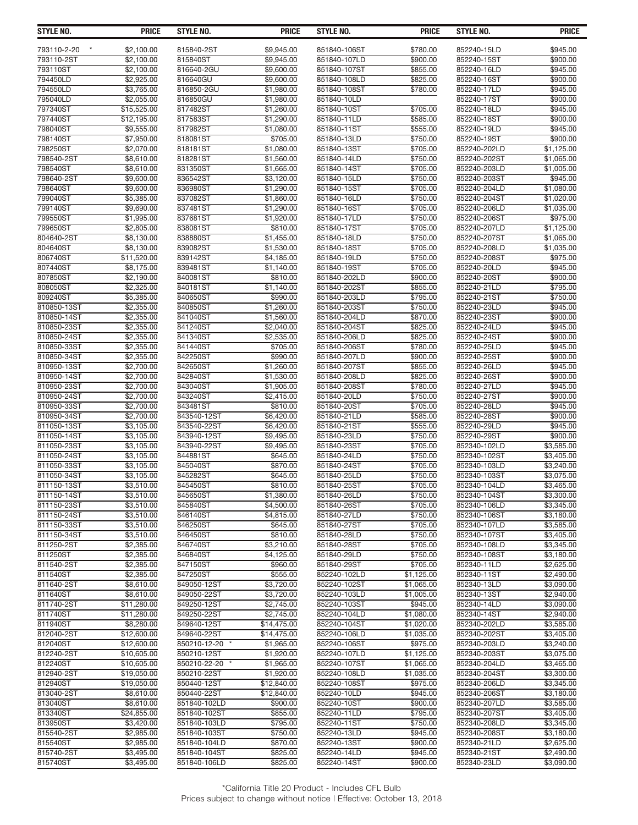| STYLE NO.                  | <b>PRICE</b>             | STYLE NO.              | <b>PRICE</b>             | STYLE NO.                    | <b>PRICE</b>         | STYLE NO.                    | <b>PRICE</b>             |
|----------------------------|--------------------------|------------------------|--------------------------|------------------------------|----------------------|------------------------------|--------------------------|
|                            |                          |                        |                          |                              |                      |                              |                          |
| 793110-2-20<br>793110-2ST  | \$2,100.00<br>\$2,100.00 | 815840-2ST<br>815840ST | \$9,945.00<br>\$9,945.00 | 851840-106ST<br>851840-107LD | \$780.00<br>\$900.00 | 852240-15LD<br>852240-15ST   | \$945.00<br>\$900.00     |
| 793110ST                   | \$2,100.00               | 816640-2GU             | \$9,600.00               | 851840-107ST                 | \$855.00             | 852240-16LD                  | \$945.00                 |
| 794450LD                   | \$2,925.00               | 816640GU               | \$9,600.00               | 851840-108LD                 | \$825.00             | 852240-16ST                  | \$900.00                 |
| 794550LD                   | \$3,765.00               | 816850-2GU             | \$1,980.00               | 851840-108ST                 | \$780.00             | 852240-17LD                  | \$945.00                 |
| 795040LD                   | \$2,055.00               | 816850GU               | \$1,980.00               | 851840-10LD                  |                      | 852240-17ST                  | \$900.00                 |
| 797340ST                   | \$15,525.00              | 817482ST               | \$1,260.00               | 851840-10ST                  | \$705.00             | 852240-18LD                  | \$945.00                 |
| 797440ST                   | \$12,195.00              | 817583ST               | \$1,290.00               | 851840-11LD                  | \$585.00             | 852240-18ST                  | \$900.00                 |
| 798040ST                   | \$9,555.00               | 817982ST               | \$1,080.00               | 851840-11ST                  | \$555.00             | 852240-19LD                  | \$945.00                 |
| 798140ST                   | \$7.950.00               | 818081ST               | \$705.00                 | 851840-13LD                  | \$750.00             | 852240-19ST                  | \$900.00                 |
| 798250ST                   | \$2,070.00               | 818181ST               | \$1,080.00               | 851840-13ST                  | \$705.00             | 852240-202LD                 | \$1,125.00               |
| 798540-2ST                 | \$8,610.00               | 818281ST               | \$1,560.00               | 851840-14LD                  | \$750.00             | 852240-202ST                 | \$1,065.00               |
| 798540ST                   | \$8.610.00               | 831350ST               | \$1.665.00               | 851840-14ST                  | \$705.00             | 852240-203LD                 | \$1,005.00               |
| 798640-2ST                 | \$9,600.00               | 836542ST               | \$3,120.00               | 851840-15LD                  | \$750.00             | 852240-203ST                 | \$945.00                 |
| 798640ST                   | \$9,600.00               | 836980ST               | \$1,290.00               | 851840-15ST                  | \$705.00             | 852240-204LD                 | \$1,080.00               |
| 799040ST                   | \$5,385.00               | 837082ST               | \$1,860.00               | 851840-16LD                  | \$750.00             | 852240-204ST                 | \$1,020.00               |
| 799140ST                   | \$9,690.00               | 837481ST               | \$1,290.00               | 851840-16ST                  | \$705.00             | 852240-206LD                 | \$1,035.00               |
| 799550ST                   | \$1,995.00               | 837681ST               | \$1,920.00               | 851840-17LD                  | \$750.00             | 852240-206ST                 | \$975.00                 |
| 799650ST                   | \$2,805.00               | 838081ST               | \$810.00                 | 851840-17ST                  | \$705.00             | 852240-207LD                 | \$1,125.00               |
| 804640-2ST                 | \$8,130.00               | 838880ST               | \$1,455.00               | 851840-18LD                  | \$750.00             | 852240-207ST                 | \$1,065.00               |
| 804640ST                   | \$8,130.00               | 839082ST               | \$1,530.00               | 851840-18ST                  | \$705.00             | 852240-208LD                 | \$1,035.00               |
| 806740ST                   | \$11,520.00              | 839142ST               | \$4,185.00               | 851840-19LD                  | \$750.00             | 852240-208ST                 | \$975.00                 |
| 807440ST                   | \$8,175.00               | 839481ST               | \$1,140.00               | 851840-19ST                  | \$705.00             | 852240-20LD                  | \$945.00                 |
| 807850ST                   | \$2,190.00               | 840081ST               | \$810.00                 | 851840-202LD                 | \$900.00             | 852240-20ST                  | \$900.00                 |
| 808050ST                   | \$2,325.00               | 840181ST               | \$1.140.00               | 851840-202ST                 | \$855.00             | 852240-21LD                  | \$795.00                 |
| 809240ST                   | \$5,385.00               | 840650ST               | \$990.00                 | 851840-203LD                 | \$795.00             | 852240-21ST                  | \$750.00                 |
| 810850-13ST                | \$2,355.00               | 840850ST               | \$1,260.00               | 851840-203ST                 | \$750.00             | 852240-23LD                  | \$945.00                 |
| 810850-14ST                | \$2,355.00               | 841040ST               | \$1,560.00               | 851840-204LD                 | \$870.00             | 852240-23ST                  | \$900.00                 |
| 810850-23ST                | \$2,355.00               | 841240ST               | \$2,040.00               | 851840-204ST                 | \$825.00             | 852240-24LD                  | \$945.00                 |
| 810850-24ST                | \$2,355.00               | 841340ST               | \$2,535.00               | 851840-206LD                 | \$825.00             | 852240-24ST                  | \$900.00                 |
| 810850-33ST                | \$2,355.00               | 841440ST               | \$705.00                 | 851840-206ST                 | \$780.00             | 852240-25LD                  | \$945.00                 |
| 810850-34ST                | \$2,355.00               | 842250ST               | \$990.00                 | 851840-207LD                 | \$900.00             | 852240-25ST                  | \$900.00                 |
| 810950-13ST                | \$2,700.00               | 842650ST               | \$1,260.00               | 851840-207ST                 | \$855.00             | 852240-26LD                  | \$945.00                 |
| 810950-14ST                | \$2,700.00               | 842840ST               | \$1,530.00               | 851840-208LD                 | \$825.00             | 852240-26ST                  | \$900.00                 |
| 810950-23ST                | \$2,700.00               | 843040ST               | \$1,905.00               | 851840-208ST                 | \$780.00             | 852240-27LD                  | \$945.00                 |
| 810950-24ST                | \$2,700.00               | 843240ST               | \$2,415.00               | 851840-20LD                  | \$750.00             | 852240-27ST                  | \$900.00                 |
| 810950-33ST                | \$2,700.00               | 843481ST               | \$810.00                 | 851840-20ST                  | \$705.00             | 852240-28LD                  | \$945.00                 |
| 810950-34ST                | \$2,700.00               | 843540-12ST            | \$6,420.00               | 851840-21LD                  | \$585.00             | 852240-28ST                  | \$900.00                 |
| 811050-13ST                | \$3,105.00               | 843540-22ST            | \$6,420.00               | 851840-21ST                  | \$555.00             | 852240-29LD                  | \$945.00                 |
| 811050-14ST                | \$3,105.00               | 843940-12ST            | \$9,495.00               | 851840-23LD                  | \$750.00             | 852240-29ST                  | \$900.00                 |
| 811050-23ST                | \$3,105.00               | 843940-22ST            | \$9,495.00               | 851840-23ST                  | \$705.00             | 852340-102LD                 | \$3,585.00               |
| 811050-24ST                | \$3,105.00               | 844881ST               | \$645.00                 | 851840-24LD                  | \$750.00             | 852340-102ST                 | \$3,405.00               |
| 811050-33ST                | \$3.105.00               | 845040ST               | \$870.00                 | 851840-24ST                  | \$705.00             | 852340-103LD                 | \$3,240,00               |
| 811050-34ST                | \$3,105.00               | 845282ST               | \$645.00                 | 851840-25LD                  | \$750.00             | 852340-103ST                 | \$3,075.00               |
| 811150-13ST                | \$3,510.00               | 845450ST               | \$810.00<br>\$1,380.00   | 851840-25ST<br>851840-26LD   | \$705.00<br>\$750.00 | 852340-104LD                 | \$3,465.00               |
| 811150-14ST<br>811150-23ST | \$3,510.00<br>\$3,510.00 | 845650ST<br>845840ST   | \$4,500.00               | 851840-26ST                  | \$705.00             | 852340-104ST<br>852340-106LD | \$3,300.00<br>\$3,345.00 |
| 811150-24ST                | \$3,510.00               | 846140ST               | \$4,815.00               | 851840-27LD                  | \$750.00             | 852340-106ST                 | \$3,180.00               |
| 811150-33ST                | \$3,510.00               | 846250ST               | \$645.00                 | 851840-27ST                  | \$705.00             | 852340-107LD                 | \$3.585.00               |
| 811150-34ST                | \$3,510.00               | 846450ST               | \$810.00                 | 851840-28LD                  | \$750.00             | 852340-107ST                 | \$3,405.00               |
| 811250-2ST                 | \$2,385.00               | 846740ST               | \$3,210.00               | 851840-28ST                  | \$705.00             | 852340-108LD                 | \$3,345.00               |
| 811250ST                   | \$2,385.00               | 846840ST               | \$4,125.00               | 851840-29LD                  | \$750.00             | 852340-108ST                 | \$3,180.00               |
| 811540-2ST                 | \$2,385.00               | 847150ST               | \$960.00                 | 851840-29ST                  | \$705.00             | 852340-11LD                  | \$2,625.00               |
| 811540ST                   | \$2,385.00               | 847250ST               | \$555.00                 | 852240-102LD                 | \$1,125.00           | 852340-11ST                  | \$2,490.00               |
| 811640-2ST                 | \$8.610.00               | 849050-12ST            | \$3,720.00               | 852240-102ST                 | \$1,065.00           | 852340-13LD                  | \$3,090.00               |
| 811640ST                   | \$8,610.00               | 849050-22ST            | \$3.720.00               | 852240-103LD                 | \$1.005.00           | 852340-13ST                  | \$2,940.00               |
| 811740-2ST                 | \$11,280.00              | 849250-12ST            | \$2,745.00               | 852240-103ST                 | \$945.00             | 852340-14LD                  | \$3,090.00               |
| 811740ST                   | \$11,280.00              | 849250-22ST            | \$2,745.00               | 852240-104LD                 | \$1,080.00           | 852340-14ST                  | \$2,940.00               |
| 811940ST                   | \$8,280.00               | 849640-12ST            | \$14,475.00              | 852240-104ST                 | \$1,020.00           | 852340-202LD                 | \$3,585.00               |
| 812040-2ST                 | \$12,600.00              | 849640-22ST            | \$14,475.00              | 852240-106LD                 | \$1,035.00           | 852340-202ST                 | \$3,405.00               |
| 812040ST                   | \$12,600.00              | 850210-12-20 *         | \$1,965.00               | 852240-106ST                 | \$975.00             | 852340-203LD                 | \$3,240.00               |
| 812240-2ST                 | \$10,605.00              | 850210-12ST            | \$1,920.00               | 852240-107LD                 | \$1,125.00           | 852340-203ST                 | \$3,075.00               |
| 812240ST                   | \$10,605.00              | 850210-22-20           | \$1,965.00               | 852240-107ST                 | \$1,065.00           | 852340-204LD                 | \$3,465.00               |
| 812940-2ST                 | \$19,050.00              | 850210-22ST            | \$1,920.00               | 852240-108LD                 | \$1,035.00           | 852340-204ST                 | \$3,300.00               |
| 812940ST                   | \$19,050.00              | 850440-12ST            | \$12,840.00              | 852240-108ST                 | \$975.00             | 852340-206LD                 | \$3,345.00               |
| 813040-2ST                 | \$8,610.00               | 850440-22ST            | \$12,840.00              | 852240-10LD                  | \$945.00             | 852340-206ST                 | \$3,180.00               |
| 813040ST                   | \$8,610.00               | 851840-102LD           | \$900.00                 | 852240-10ST                  | \$900.00             | 852340-207LD                 | \$3,585.00               |
| 813340ST                   | \$24,855.00              | 851840-102ST           | \$855.00                 | 852240-11LD                  | \$795.00             | 852340-207ST                 | \$3,405.00               |
| 813950ST                   | \$3,420.00               | 851840-103LD           | \$795.00                 | 852240-11ST                  | \$750.00             | 852340-208LD                 | \$3,345.00               |
| 815540-2ST                 | \$2,985.00               | 851840-103ST           | \$750.00                 | 852240-13LD                  | \$945.00             | 852340-208ST                 | \$3,180.00               |
| 815540ST                   | \$2,985.00               | 851840-104LD           | \$870.00                 | 852240-13ST                  | \$900.00             | 852340-21LD                  | \$2,625.00               |
| 815740-2ST                 | \$3,495.00               | 851840-104ST           | \$825.00                 | 852240-14LD                  | \$945.00             | 852340-21ST                  | \$2,490.00               |
| 815740ST                   | \$3,495.00               | 851840-106LD           | \$825.00                 | 852240-14ST                  | \$900.00             | 852340-23LD                  | \$3,090.00               |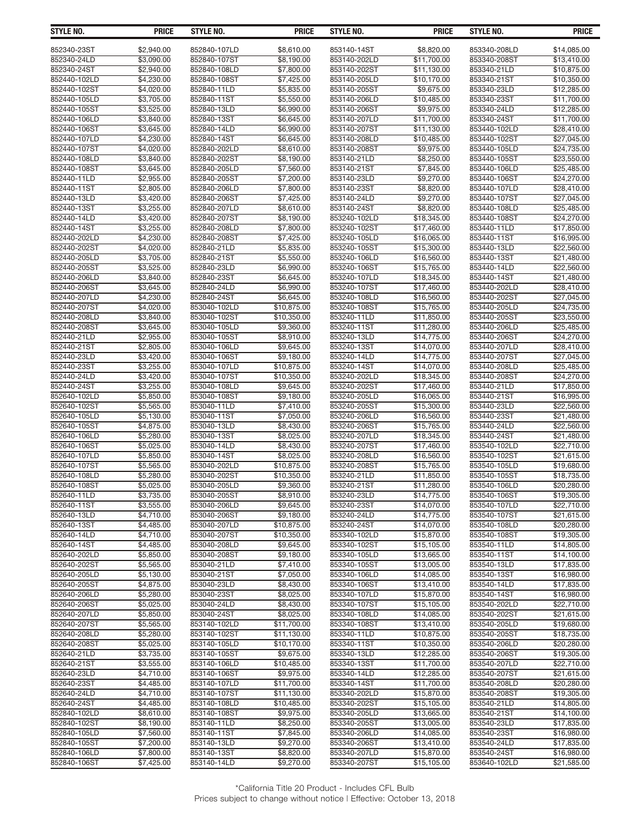| STYLE NO.                  | <b>PRICE</b>             | <b>STYLE NO.</b>             | <b>PRICE</b>              | <b>STYLE NO.</b>            | <b>PRICE</b>               | <b>STYLE NO.</b>            | <b>PRICE</b>               |
|----------------------------|--------------------------|------------------------------|---------------------------|-----------------------------|----------------------------|-----------------------------|----------------------------|
| 852340-23ST                | \$2,940.00               | 852840-107LD                 | \$8,610.00                | 853140-14ST                 | \$8,820.00                 | 853340-208LD                | \$14,085.00                |
| 852340-24LD                | \$3,090.00               | 852840-107ST                 | \$8,190.00                | 853140-202LD                | \$11,700.00                | 853340-208ST                | \$13,410.00                |
| 852340-24ST                | \$2,940.00               | 852840-108LD                 | \$7,800.00                | 853140-202ST                | \$11,130.00                | 853340-21LD                 | \$10,875.00                |
| 852440-102LD               | \$4,230.00               | 852840-108ST                 | \$7,425.00                | 853140-205LD                | \$10,170.00                | 853340-21ST                 | \$10,350.00                |
| 852440-102ST               | \$4,020.00               | 852840-11LD                  | \$5,835.00                | 853140-205ST                | \$9,675.00                 | 853340-23LD                 | \$12,285.00                |
| 852440-105LD               | \$3,705.00               | 852840-11ST                  | \$5,550.00                | 853140-206LD                | \$10,485.00                | 853340-23ST                 | \$11,700.00                |
| 852440-105ST               | \$3,525.00               | 852840-13LD                  | \$6,990.00                | 853140-206ST                | \$9,975.00                 | 853340-24LD                 | \$12,285.00                |
| 852440-106LD               | \$3,840.00               | 852840-13ST                  | $\overline{$6,645.00}$    | 853140-207LD                | \$11,700.00                | 853340-24ST                 | \$11,700.00                |
| 852440-106ST               | \$3,645.00               | 852840-14LD                  | \$6,990.00                | 853140-207ST                | \$11,130.00                | 853440-102LD                | \$28,410.00                |
| 852440-107LD               | \$4,230.00               | 852840-14ST                  | \$6,645.00                | 853140-208LD                | \$10,485.00                | 853440-102ST                | \$27,045.00                |
| 852440-107ST               | \$4,020.00               | 852840-202LD                 | \$8,610.00                | 853140-208ST                | \$9,975.00                 | 853440-105LD                | \$24,735.00                |
| 852440-108LD               | \$3,840.00               | 852840-202ST                 | \$8,190.00                | 853140-21LD                 | \$8,250.00                 | 853440-105ST                | \$23,550.00                |
| 852440-108ST               | \$3,645.00               | 852840-205LD                 | \$7,560.00                | 853140-21ST                 | \$7,845.00                 | 853440-106LD                | \$25,485.00                |
| 852440-11LD                | \$2,955.00               | 852840-205ST                 | $\overline{$}7,200.00$    | 853140-23LD                 | \$9,270.00                 | 853440-106ST                | \$24,270.00                |
| 852440-11ST                | \$2,805.00               | 852840-206LD                 | \$7,800.00                | 853140-23ST                 | \$8,820.00                 | 853440-107LD                | \$28,410.00                |
| 852440-13LD                | \$3,420.00               | 852840-206ST                 | \$7,425.00                | 853140-24LD                 | \$9,270.00                 | 853440-107ST                | \$27,045.00                |
| 852440-13ST                | \$3,255.00               | 852840-207LD                 | \$8,610.00                | 853140-24ST                 | \$8,820.00                 | 853440-108LD                | \$25,485.00                |
| 852440-14LD                | \$3,420.00               | 852840-207ST                 | \$8,190.00                | 853240-102LD                | \$18,345.00                | 853440-108ST                | \$24,270.00                |
| 852440-14ST                | \$3,255.00               | 852840-208LD                 | \$7,800.00                | 853240-102ST                | \$17,460.00                | 853440-11LD                 | \$17,850.00                |
| 852440-202LD               | \$4,230.00               | 852840-208ST                 | \$7,425.00                | 853240-105LD                | \$16,065,00                | 853440-11ST                 | \$16,995.00                |
| 852440-202ST               | \$4,020.00               | 852840-21LD                  | \$5,835.00                | 853240-105ST                | \$15,300.00                | 853440-13LD                 | \$22,560.00                |
| 852440-205LD               | \$3,705.00               | 852840-21ST                  | \$5,550.00                | 853240-106LD                | \$16,560.00                | 853440-13ST                 | \$21,480.00                |
| 852440-205ST               | \$3,525.00               | 852840-23LD                  | \$6,990.00                | 853240-106ST                | \$15,765.00                | 853440-14LD                 | \$22,560.00                |
| 852440-206LD               | \$3,840.00               | 852840-23ST                  | \$6,645.00                | 853240-107LD                | \$18,345.00                | 853440-14ST                 | \$21,480.00                |
| 852440-206ST               | \$3,645.00               | 852840-24LD                  | \$6.990.00                | 853240-107ST                | \$17,460.00                | 853440-202LD                | \$28,410.00                |
| 852440-207LD               | \$4,230.00               | 852840-24ST                  | \$6,645.00                | 853240-108LD                | \$16,560.00                | 853440-202ST                | \$27,045.00                |
| 852440-207ST               | \$4,020.00               | 853040-102LD                 | \$10,875.00               | 853240-108ST                | \$15,765.00                | 853440-205LD                | \$24,735.00                |
| 852440-208LD               | \$3,840.00               | 853040-102ST                 | \$10,350.00               | 853240-11LD                 | \$11,850.00                | 853440-205ST                | \$23,550.00                |
| 852440-208ST               | \$3,645.00               | 853040-105LD                 | \$9,360.00                | 853240-11ST                 | \$11,280.00                | 853440-206LD                | \$25,485.00                |
| 852440-21LD                | \$2,955.00               | 853040-105ST                 | \$8,910.00                | 853240-13LD                 | \$14,775.00                | 853440-206ST                | \$24,270.00                |
| 852440-21ST                | \$2,805.00               | 853040-106LD                 | \$9,645.00                | 853240-13ST                 | \$14,070.00                | 853440-207LD                | \$28,410.00                |
| 852440-23LD                | \$3,420.00               | 853040-106ST                 | \$9,180.00                | 853240-14LD                 | \$14,775.00                | 853440-207ST                | \$27,045.00                |
| 852440-23ST                | \$3,255.00               | 853040-107LD                 | \$10,875.00               | 853240-14ST<br>853240-202LD | \$14,070.00                | 853440-208LD                | \$25,485.00                |
| 852440-24LD<br>852440-24ST | \$3,420.00<br>\$3,255.00 | 853040-107ST<br>853040-108LD | \$10,350.00<br>\$9,645.00 | 853240-202ST                | \$18,345.00<br>\$17,460.00 | 853440-208ST<br>853440-21LD | \$24,270.00<br>\$17,850.00 |
| 852640-102LD               | \$5,850.00               | 853040-108ST                 | \$9,180.00                | 853240-205LD                | \$16,065.00                | 853440-21ST                 | \$16,995.00                |
| 852640-102ST               | \$5,565.00               | 853040-11LD                  | \$7,410.00                | 853240-205ST                | \$15,300.00                | 853440-23LD                 | \$22,560.00                |
| 852640-105LD               | \$5,130.00               | 853040-11ST                  | $\overline{$7,050.00}$    | 853240-206LD                | \$16,560.00                | 853440-23ST                 | \$21,480.00                |
| 852640-105ST               | \$4,875.00               | 853040-13LD                  | \$8,430.00                | 853240-206ST                | \$15,765.00                | 853440-24LD                 | \$22,560.00                |
| 852640-106LD               | \$5,280.00               | 853040-13ST                  | \$8,025.00                | 853240-207LD                | \$18,345.00                | 853440-24ST                 | \$21,480.00                |
| 852640-106ST               | \$5,025.00               | 853040-14LD                  | \$8,430.00                | 853240-207ST                | \$17,460.00                | 853540-102LD                | \$22,710.00                |
| 852640-107LD               | \$5,850.00               | 853040-14ST                  | \$8,025.00                | 853240-208LD                | \$16,560.00                | 853540-102ST                | \$21,615.00                |
| 852640-107ST               | \$5,565.00               | 853040-202LD                 | \$10,875.00               | 853240-208ST                | \$15,765.00                | 853540-105LD                | \$19,680.00                |
| 852640-108LD               | \$5.280.00               | 853040-202ST                 | \$10,350.00               | 853240-21LD                 | $\overline{$}11,850.00$    | 853540-105ST                | \$18,735.00                |
| 852640-108ST               | \$5,025.00               | 853040-205LD                 | \$9,360.00                | 853240-21ST                 | \$11,280.00                | 853540-106LD                | \$20,280.00                |
| 852640-11LD                | \$3,735.00               | 853040-205ST                 | \$8,910.00                | 853240-23LD                 | \$14,775.00                | 853540-106ST                | \$19,305.00                |
| 852640-11ST                | \$3,555.00               | 853040-206LD                 | \$9,645.00                | 853240-23ST                 | \$14,070.00                | 853540-107LD                | \$22,710.00                |
| 852640-13LD                | \$4,710.00               | 853040-206ST                 | \$9,180.00                | 853240-24LD                 | \$14,775.00                | 853540-107ST                | \$21,615.00                |
| 852640-13ST                | \$4.485.00               | 853040-207LD                 | \$10,875.00               | 853240-24ST                 | \$14,070.00                | 853540-108LD                | \$20,280.00                |
| 852640-14LD                | \$4,710.00               | 853040-207ST                 | \$10,350.00               | 853340-102LD                | \$15,870.00                | 853540-108ST                | \$19,305.00                |
| 852640-14ST                | \$4,485.00               | 853040-208LD                 | \$9,645.00                | 853340-102ST                | \$15,105.00                | 853540-11LD                 | \$14,805.00                |
| 852640-202LD               | \$5,850.00               | 853040-208ST                 | \$9,180.00                | 853340-105LD                | \$13,665.00                | 853540-11ST                 | \$14,100.00                |
| 852640-202ST               | \$5,565.00               | 853040-21LD                  | \$7,410.00                | 853340-105ST                | \$13,005.00                | 853540-13LD                 | \$17,835.00                |
| 852640-205LD               | \$5,130.00               | 853040-21ST                  | \$7,050.00                | 853340-106LD                | \$14,085.00                | 853540-13ST                 | \$16,980.00                |
| 852640-205ST               | \$4,875.00               | 853040-23LD                  | \$8,430.00                | 853340-106ST                | \$13,410.00                | 853540-14LD                 | \$17,835.00                |
| 852640-206LD               | \$5,280.00               | 853040-23ST                  | \$8,025.00                | 853340-107LD                | \$15,870.00                | 853540-14ST                 | \$16,980.00                |
| 852640-206ST               | \$5,025.00               | 853040-24LD                  | \$8,430.00                | 853340-107ST                | \$15,105.00                | 853540-202LD                | \$22,710.00                |
| 852640-207LD               | \$5,850.00               | 853040-24ST                  | \$8,025.00                | 853340-108LD                | \$14,085.00                | 853540-202ST                | \$21,615.00                |
| 852640-207ST               | \$5,565.00               | 853140-102LD                 | \$11,700.00               | 853340-108ST                | \$13,410.00                | 853540-205LD                | \$19,680.00                |
| 852640-208LD               | \$5,280.00               | 853140-102ST                 | \$11,130.00               | 853340-11LD                 | \$10,875.00                | 853540-205ST                | \$18,735.00                |
| 852640-208ST               | \$5,025.00               | 853140-105LD                 | \$10,170.00               | 853340-11ST                 | \$10,350.00                | 853540-206LD                | \$20,280.00                |
| 852640-21LD                | \$3,735.00               | 853140-105ST                 | \$9,675.00                | 853340-13LD                 | \$12,285.00                | 853540-206ST                | \$19,305.00                |
| 852640-21ST                | \$3,555.00               | 853140-106LD                 | \$10,485.00               | 853340-13ST                 | \$11,700.00                | 853540-207LD                | \$22,710.00                |
| 852640-23LD                | \$4,710.00               | 853140-106ST                 | \$9,975.00                | 853340-14LD                 | \$12,285.00                | 853540-207ST                | \$21,615.00                |
| 852640-23ST                | \$4,485.00               | 853140-107LD                 | \$11,700.00               | 853340-14ST                 | \$11,700.00                | 853540-208LD                | \$20,280.00                |
| 852640-24LD                | \$4,710.00               | 853140-107ST                 | \$11,130.00               | 853340-202LD                | \$15,870.00                | 853540-208ST                | \$19,305.00                |
| 852640-24ST                | \$4,485.00               | 853140-108LD                 | \$10,485.00               | 853340-202ST                | \$15,105.00                | 853540-21LD                 | \$14,805.00                |
| 852840-102LD               | \$8,610.00               | 853140-108ST                 | \$9,975.00                | 853340-205LD                | \$13,665.00                | 853540-21ST                 | \$14,100.00                |
| 852840-102ST               | \$8,190.00               | 853140-11LD                  | \$8,250.00                | 853340-205ST                | \$13,005.00                | 853540-23LD                 | \$17,835.00                |
| 852840-105LD               | \$7,560.00               | 853140-11ST                  | \$7,845.00                | 853340-206LD                | \$14,085.00                | 853540-23ST                 | \$16,980.00                |
| 852840-105ST               | \$7,200.00               | 853140-13LD                  | \$9,270.00                | 853340-206ST                | \$13,410.00                | 853540-24LD                 | \$17,835.00                |
| 852840-106LD               | \$7,800.00               | 853140-13ST                  | \$8,820.00                | 853340-207LD                | \$15,870.00                | 853540-24ST                 | \$16,980.00                |
| 852840-106ST               | \$7,425.00               | 853140-14LD                  | \$9,270.00                | 853340-207ST                | \$15,105.00                | 853640-102LD                | \$21,585.00                |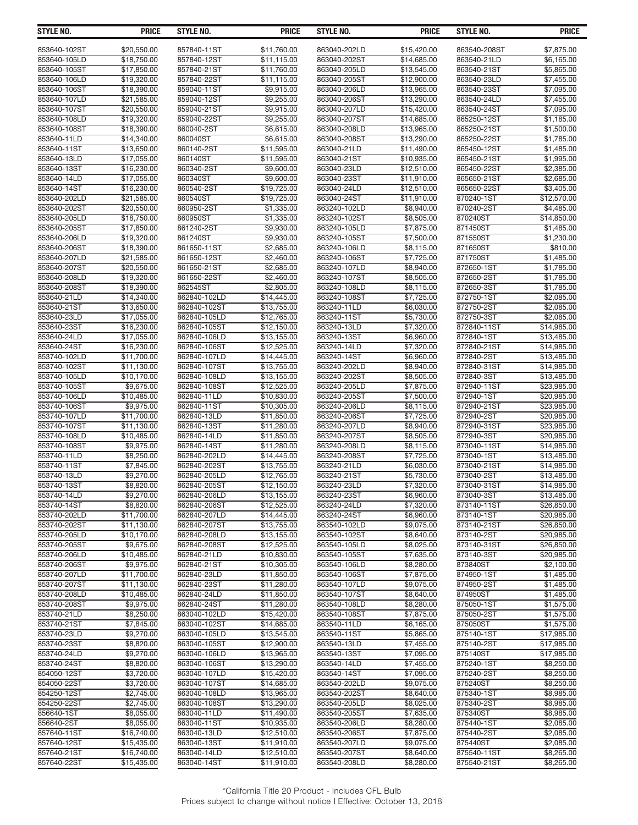| <b>STYLE NO.</b>            | <b>PRICE</b>               | STYLE NO.                    | <b>PRICE</b>               | STYLE NO.                    | <b>PRICE</b>               | STYLE NO.                  | <b>PRICE</b>               |
|-----------------------------|----------------------------|------------------------------|----------------------------|------------------------------|----------------------------|----------------------------|----------------------------|
| 853640-102ST                | \$20,550.00                | 857840-11ST                  | \$11,760.00                | 863040-202LD                 | \$15,420.00                | 863540-208ST               | \$7,875.00                 |
| 853640-105LD                | \$18,750.00                | 857840-12ST                  | \$11,115.00                | 863040-202ST                 | \$14,685.00                | 863540-21LD                | \$6,165.00                 |
| 853640-105ST                | \$17,850.00                | 857840-21ST                  | \$11,760.00                | 863040-205LD                 | \$13,545.00                | 863540-21ST                | \$5,865.00                 |
| 853640-106LD                | \$19,320.00                | 857840-22ST                  | \$11,115.00                | 863040-205ST                 | \$12,900.00                | 863540-23LD                | \$7,455.00                 |
| 853640-106ST                | \$18,390.00                | 859040-11ST                  | \$9,915.00                 | 863040-206LD                 | \$13,965.00                | 863540-23ST                | \$7,095.00                 |
| 853640-107LD                | \$21,585.00                | 859040-12ST                  | \$9,255.00                 | 863040-206ST                 | \$13,290.00                | 863540-24LD                | \$7,455.00                 |
| 853640-107ST                | \$20,550.00                | 859040-21ST                  | \$9,915.00                 | 863040-207LD                 | \$15,420.00                | 863540-24ST                | \$7,095.00                 |
| 853640-108LD                | \$19,320.00                | 859040-22ST                  | \$9,255.00                 | 863040-207ST                 | \$14,685.00                | 865250-12ST                | \$1,185.00                 |
| 853640-108ST                | \$18,390.00                | 860040-2ST                   | \$6,615.00                 | 863040-208LD                 | \$13,965.00                | 865250-21ST                | \$1,500.00                 |
| 853640-11LD<br>853640-11ST  | \$14,340.00<br>\$13,650.00 | 860040ST<br>860140-2ST       | \$6,615.00<br>\$11,595.00  | 863040-208ST<br>863040-21LD  | \$13,290.00                | 865250-22ST<br>865450-12ST | \$1,785.00<br>\$1,485.00   |
| 853640-13LD                 | \$17,055.00                | 860140ST                     | \$11,595.00                | 863040-21ST                  | \$11,490.00<br>\$10,935.00 | 865450-21ST                | \$1,995.00                 |
| 853640-13ST                 | \$16,230.00                | 860340-2ST                   | \$9.600.00                 | 863040-23LD                  | \$12.510.00                | 865450-22ST                | \$2,385.00                 |
| 853640-14LD                 | \$17,055.00                | 860340ST                     | $\overline{$9,600.00}$     | 863040-23ST                  | \$11,910.00                | 865650-21ST                | \$2,685.00                 |
| 853640-14ST                 | \$16,230.00                | 860540-2ST                   | \$19,725.00                | 863040-24LD                  | \$12,510.00                | 865650-22ST                | \$3,405.00                 |
| 853640-202LD                | \$21,585.00                | 860540ST                     | \$19,725.00                | 863040-24ST                  | \$11,910.00                | 870240-1ST                 | \$12,570.00                |
| 853640-202ST                | \$20,550.00                | 860950-2ST                   | \$1,335.00                 | 863240-102LD                 | \$8,940.00                 | 870240-2ST                 | \$4,485.00                 |
| 853640-205LD                | \$18,750.00                | 860950ST                     | \$1,335.00                 | 863240-102ST                 | \$8,505.00                 | 870240ST                   | \$14,850.00                |
| 853640-205ST                | \$17,850.00                | 861240-2ST                   | \$9,930.00                 | 863240-105LD                 | \$7,875.00                 | 871450ST                   | \$1,485.00                 |
| 853640-206LD                | \$19,320.00                | 861240ST                     | \$9,930.00                 | 863240-105ST                 | \$7,500.00                 | 871550ST                   | \$1,230.00                 |
| 853640-206ST                | \$18,390.00                | 861650-11ST                  | \$2.685.00                 | 863240-106LD                 | \$8,115.00                 | 871650ST                   | \$810.00                   |
| 853640-207LD                | \$21,585.00                | 861650-12ST                  | \$2,460.00                 | 863240-106ST                 | \$7,725.00                 | 871750ST                   | \$1,485.00                 |
| 853640-207ST                | \$20,550.00                | 861650-21ST                  | \$2,685.00                 | 863240-107LD<br>863240-107ST | \$8,940.00                 | 872650-1ST                 | \$1,785.00                 |
| 853640-208LD                | \$19,320.00                | 861650-22ST<br>862545ST      | \$2,460.00                 | 863240-108LD                 | \$8,505.00<br>\$8.115.00   | 872650-2ST                 | \$1,785.00<br>\$1.785.00   |
| 853640-208ST<br>853640-21LD | \$18,390.00<br>\$14,340.00 | 862840-102LD                 | \$2,805.00                 | 863240-108ST                 | \$7,725.00                 | 872650-3ST<br>872750-1ST   | \$2,085.00                 |
| 853640-21ST                 | \$13,650.00                | 862840-102ST                 | \$14,445.00<br>\$13,755.00 | 863240-11LD                  | \$6,030.00                 | 872750-2ST                 | \$2,085.00                 |
| 853640-23LD                 | \$17,055.00                | 862840-105LD                 | \$12,765.00                | 863240-11ST                  | \$5,730.00                 | 872750-3ST                 | \$2.085.00                 |
| 853640-23ST                 | \$16,230.00                | 862840-105ST                 | \$12,150.00                | 863240-13LD                  | \$7,320.00                 | 872840-11ST                | \$14,985.00                |
| 853640-24LD                 | \$17,055.00                | 862840-106LD                 | \$13,155.00                | 863240-13ST                  | \$6,960.00                 | 872840-1ST                 | \$13,485.00                |
| 853640-24ST                 | \$16,230.00                | 862840-106ST                 | \$12,525.00                | 863240-14LD                  | \$7,320.00                 | 872840-21ST                | \$14,985.00                |
| 853740-102LD                | \$11,700.00                | 862840-107LD                 | \$14,445.00                | 863240-14ST                  | \$6,960.00                 | 872840-2ST                 | \$13,485.00                |
| 853740-102ST                | \$11,130.00                | 862840-107ST                 | \$13,755.00                | 863240-202LD                 | \$8,940.00                 | 872840-31ST                | \$14,985.00                |
| 853740-105LD                | \$10,170.00                | 862840-108LD                 | \$13,155.00                | 863240-202ST                 | \$8,505.00                 | 872840-3ST                 | \$13,485.00                |
| 853740-105ST                | \$9,675.00                 | 862840-108ST                 | \$12,525.00                | 863240-205LD                 | \$7,875.00                 | 872940-11ST                | \$23,985.00                |
| 853740-106LD                | \$10,485.00                | 862840-11LD                  | \$10,830.00                | 863240-205ST                 | \$7,500.00                 | 872940-1ST                 | \$20,985.00                |
| 853740-106ST                | \$9,975.00                 | 862840-11ST                  | \$10,305.00                | 863240-206LD                 | \$8,115.00                 | 872940-21ST                | \$23,985.00                |
| 853740-107LD                | \$11,700.00                | 862840-13LD                  | $\overline{$11,850.00}$    | 863240-206ST                 | \$7,725.00                 | 872940-2ST                 | \$20,985.00                |
| 853740-107ST                | \$11,130.00                | 862840-13ST                  | \$11,280.00                | 863240-207LD                 | \$8,940.00                 | 872940-31ST                | \$23,985.00                |
| 853740-108LD                | \$10,485.00                | 862840-14LD                  | \$11,850.00                | 863240-207ST                 | \$8,505.00                 | 872940-3ST                 | \$20,985.00                |
| 853740-108ST                | \$9,975.00                 | 862840-14ST                  | \$11,280.00                | 863240-208LD                 | \$8,115.00                 | 873040-11ST                | \$14,985.00                |
| 853740-11LD                 | \$8,250.00                 | 862840-202LD                 | \$14,445.00                | 863240-208ST                 | \$7,725.00                 | 873040-1ST                 | \$13,485.00                |
| 853740-11ST                 | \$7,845.00                 | 862840-202ST                 | \$13,755.00                | 863240-21LD                  | \$6,030.00                 | 873040-21ST                | \$14,985.00                |
| 853740-13LD                 | \$9,270.00                 | 862840-205LD                 | \$12,765.00                | 863240-21ST                  | $\overline{$}5,730.00$     | 873040-2ST                 | \$13,485.00                |
| 853740-13ST<br>853740-14LD  | \$8,820.00                 | 862840-205ST<br>862840-206LD | \$12,150.00                | 863240-23LD<br>863240-23ST   | \$7,320.00                 | 873040-31ST<br>873040-3ST  | \$14,985.00                |
| 853740-14ST                 | \$9,270.00<br>\$8,820.00   | 862840-206ST                 | \$13,155.00<br>\$12,525.00 | 863240-24LD                  | \$6,960.00<br>\$7,320.00   | 873140-11ST                | \$13,485.00<br>\$26,850.00 |
| 853740-202LD                | \$11,700.00                | 862840-207LD                 | \$14,445.00                | 863240-24ST                  | \$6,960.00                 | 873140-1ST                 | \$20,985.00                |
| 853740-202ST                | \$11.130.00                | 862840-207ST                 | \$13,755.00                | 863540-102LD                 | \$9,075.00                 | 873140-21ST                | \$26,850.00                |
| 853740-205LD                | \$10,170.00                | 862840-208LD                 | \$13,155.00                | 863540-102ST                 | \$8,640.00                 | 873140-2ST                 | \$20,985.00                |
| 853740-205ST                | \$9,675.00                 | 862840-208ST                 | \$12,525.00                | 863540-105LD                 | \$8,025.00                 | 873140-31ST                | \$26,850.00                |
| 853740-206LD                | \$10,485.00                | 862840-21LD                  | \$10,830.00                | 863540-105ST                 | \$7,635.00                 | 873140-3ST                 | \$20,985.00                |
| 853740-206ST                | \$9,975.00                 | 862840-21ST                  | \$10,305.00                | 863540-106LD                 | \$8,280.00                 | 873840ST                   | \$2,100.00                 |
| 853740-207LD                | \$11,700.00                | 862840-23LD                  | \$11,850.00                | 863540-106ST                 | \$7,875.00                 | 874950-1ST                 | \$1,485.00                 |
| 853740-207ST                | \$11,130.00                | 862840-23ST                  | \$11,280.00                | 863540-107LD                 | \$9,075.00                 | 874950-2ST                 | \$1,485.00                 |
| 853740-208LD                | \$10,485.00                | 862840-24LD                  | \$11.850.00                | 863540-107ST                 | \$8,640.00                 | 874950ST                   | \$1,485.00                 |
| 853740-208ST                | \$9,975.00                 | 862840-24ST                  | \$11,280.00                | 863540-108LD                 | \$8,280.00                 | 875050-1ST                 | \$1,575.00                 |
| 853740-21LD                 | \$8,250.00                 | 863040-102LD                 | \$15,420.00                | 863540-108ST                 | \$7,875.00                 | 875050-2ST                 | \$1,575.00                 |
| 853740-21ST                 | \$7,845.00                 | 863040-102ST                 | \$14,685.00                | 863540-11LD                  | \$6,165.00                 | 875050ST                   | \$1,575.00                 |
| 853740-23LD                 | \$9,270.00                 | 863040-105LD                 | \$13,545.00                | 863540-11ST                  | \$5,865.00                 | 875140-1ST                 | \$17,985.00                |
| 853740-23ST                 | \$8,820.00                 | 863040-105ST                 | \$12,900.00                | 863540-13LD                  | \$7,455.00                 | 875140-2ST                 | \$17,985.00                |
| 853740-24LD                 | \$9,270.00                 | 863040-106LD                 | \$13,965.00                | 863540-13ST                  | \$7,095.00                 | 875140ST                   | \$17,985.00                |
| 853740-24ST                 | \$8,820.00                 | 863040-106ST                 | \$13,290.00                | 863540-14LD                  | \$7,455.00                 | 875240-1ST                 | \$8,250.00                 |
| 854050-12ST                 | \$3,720.00<br>\$3,720.00   | 863040-107LD                 | \$15,420.00                | 863540-14ST                  | \$7,095.00<br>\$9,075.00   | 875240-2ST                 | \$8,250.00                 |
| 854050-22ST<br>854250-12ST  | \$2,745.00                 | 863040-107ST<br>863040-108LD | \$14,685.00<br>\$13,965.00 | 863540-202LD<br>863540-202ST | \$8,640.00                 | 875240ST<br>875340-1ST     | \$8,250.00<br>\$8,985.00   |
| 854250-22ST                 | \$2,745.00                 | 863040-108ST                 | \$13,290.00                | 863540-205LD                 | \$8,025.00                 | 875340-2ST                 | \$8,985.00                 |
| 856640-1ST                  | \$8,055.00                 | 863040-11LD                  | \$11,490.00                | 863540-205ST                 | \$7,635.00                 | 875340ST                   | \$8,985.00                 |
| 856640-2ST                  | \$8,055.00                 | 863040-11ST                  | \$10,935.00                | 863540-206LD                 | \$8,280.00                 | 875440-1ST                 | \$2,085.00                 |
| 857640-11ST                 | \$16,740.00                | 863040-13LD                  | \$12,510.00                | 863540-206ST                 | \$7,875.00                 | 875440-2ST                 | \$2,085.00                 |
| 857640-12ST                 | \$15,435.00                | 863040-13ST                  | \$11,910.00                | 863540-207LD                 | \$9,075.00                 | 875440ST                   | \$2,085.00                 |
| 857640-21ST                 | \$16,740.00                | 863040-14LD                  | \$12,510.00                | 863540-207ST                 | \$8,640.00                 | 875540-11ST                | \$8,265.00                 |
| 857640-22ST                 | \$15,435.00                | 863040-14ST                  | \$11,910.00                | 863540-208LD                 | \$8,280.00                 | 875540-21ST                | \$8,265.00                 |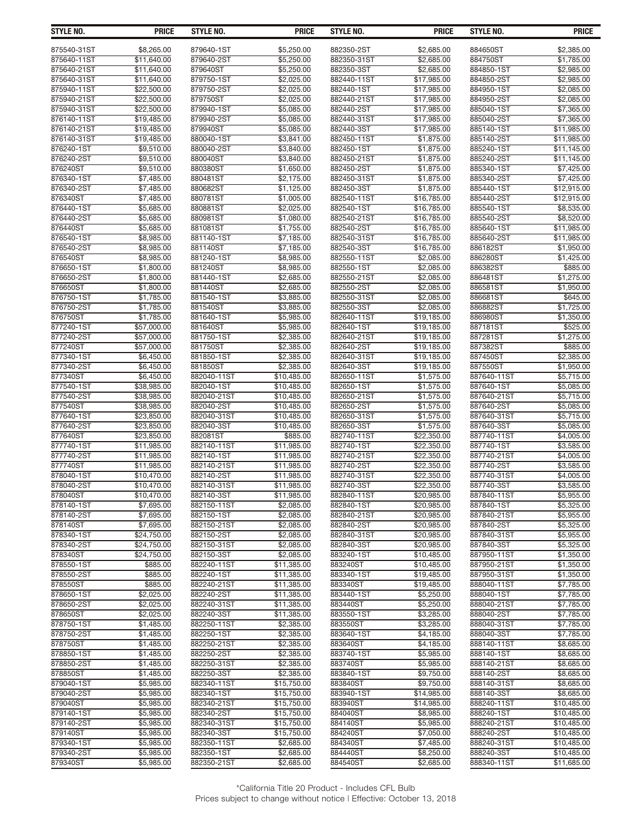| <b>STYLE NO.</b>           | <b>PRICE</b>               | STYLE NO.                 | <b>PRICE</b>               | <b>STYLE NO.</b>          | <b>PRICE</b>               | STYLE NO.                 | <b>PRICE</b>               |
|----------------------------|----------------------------|---------------------------|----------------------------|---------------------------|----------------------------|---------------------------|----------------------------|
| 875540-31ST                | \$8,265.00                 | 879640-1ST                | \$5,250.00                 | 882350-2ST                | \$2,685.00                 | 884650ST                  | \$2,385.00                 |
| 875640-11ST                | \$11,640.00                | 879640-2ST                | \$5,250.00                 | 882350-31ST               | \$2,685.00                 | 884750ST                  | \$1,785.00                 |
| 875640-21ST                | \$11,640.00                | 879640ST                  | \$5,250.00                 | 882350-3ST                | \$2,685.00                 | 884850-1ST                | \$2,985.00                 |
| 875640-31ST                | \$11,640.00                | 879750-1ST                | \$2,025.00                 | 882440-11ST               | \$17,985.00                | 884850-2ST                | \$2,985.00                 |
| 875940-11ST                | \$22,500.00                | 879750-2ST                | \$2,025.00                 | 882440-1ST                | \$17,985.00                | 884950-1ST                | \$2,085.00                 |
| 875940-21ST                | \$22,500.00                | 879750ST                  | \$2,025.00                 | 882440-21ST               | \$17,985.00                | 884950-2ST                | \$2,085.00                 |
| 875940-31ST                | \$22,500.00                | 879940-1ST                | \$5,085.00                 | 882440-2ST                | \$17,985.00                | 885040-1ST                | \$7,365.00                 |
| 876140-11ST                | \$19,485.00                | 879940-2ST                | \$5,085.00                 | 882440-31ST               | \$17,985.00                | 885040-2ST                | \$7,365.00                 |
| 876140-21ST<br>876140-31ST | \$19,485.00<br>\$19,485.00 | 879940ST<br>880040-1ST    | \$5,085.00<br>\$3,841.00   | 882440-3ST<br>882450-11ST | \$17,985.00<br>\$1,875.00  | 885140-1ST<br>885140-2ST  | \$11,985.00<br>\$11,985.00 |
| 876240-1ST                 | \$9.510.00                 | 880040-2ST                | \$3,840.00                 | 882450-1ST                | \$1,875.00                 | 885240-1ST                | \$11,145.00                |
| 876240-2ST                 | \$9,510.00                 | 880040ST                  | \$3,840.00                 | 882450-21ST               | \$1,875.00                 | 885240-2ST                | \$11,145.00                |
| 876240ST                   | \$9,510.00                 | 880380ST                  | \$1,650.00                 | 882450-2ST                | \$1,875.00                 | 885340-1ST                | \$7,425.00                 |
| 876340-1ST                 | \$7,485.00                 | 880481ST                  | \$2,175.00                 | 882450-31ST               | \$1,875.00                 | 885340-2ST                | \$7,425.00                 |
| 876340-2ST                 | \$7,485.00                 | 880682ST                  | \$1,125.00                 | 882450-3ST                | \$1,875.00                 | 885440-1ST                | \$12,915.00                |
| 876340ST                   | \$7,485.00                 | 880781ST                  | \$1,005.00                 | 882540-11ST               | \$16,785.00                | 885440-2ST                | \$12,915.00                |
| 876440-1ST                 | \$5,685.00                 | 880881ST                  | \$2,025.00                 | 882540-1ST                | \$16,785.00                | 885540-1ST                | \$8,535.00                 |
| 876440-2ST                 | \$5,685.00                 | 880981ST                  | \$1,080.00                 | 882540-21ST               | \$16,785.00                | 885540-2ST                | \$8,520.00                 |
| 876440ST                   | \$5,685.00                 | 881081ST                  | \$1,755.00                 | 882540-2ST                | \$16,785.00                | 885640-1ST                | \$11,985.00                |
| 876540-1ST                 | \$8,985.00                 | 881140-1ST                | \$7,185.00                 | 882540-31ST               | \$16,785.00                | 885640-2ST                | \$11,985.00                |
| 876540-2ST<br>876540ST     | \$8,985.00<br>\$8,985.00   | 881140ST<br>881240-1ST    | \$7,185.00<br>\$8,985.00   | 882540-3ST<br>882550-11ST | \$16,785.00<br>\$2,085.00  | 886182ST<br>886280ST      | \$1,950.00<br>\$1,425.00   |
| 876650-1ST                 | \$1.800.00                 | 881240ST                  | \$8,985.00                 | 882550-1ST                | \$2.085.00                 | 886382ST                  | \$885.00                   |
| 876650-2ST                 | \$1,800.00                 | 881440-1ST                | \$2,685.00                 | 882550-21ST               | \$2,085.00                 | 886481ST                  | \$1,275.00                 |
| 876650ST                   | \$1,800.00                 | 881440ST                  | \$2,685.00                 | 882550-2ST                | \$2,085.00                 | 886581ST                  | \$1,950.00                 |
| 876750-1ST                 | \$1,785.00                 | 881540-1ST                | \$3,885.00                 | 882550-31ST               | \$2,085.00                 | 886681ST                  | \$645.00                   |
| 876750-2ST                 | \$1,785.00                 | 881540ST                  | \$3,885.00                 | 882550-3ST                | \$2,085.00                 | 886882ST                  | \$1,725.00                 |
| 876750ST                   | \$1,785.00                 | 881640-1ST                | \$5,985.00                 | 882640-11ST               | \$19.185.00                | 886980ST                  | \$1,350.00                 |
| 877240-1ST                 | \$57,000.00                | 881640ST                  | \$5,985.00                 | 882640-1ST                | \$19,185.00                | 887181ST                  | \$525.00                   |
| 877240-2ST                 | \$57,000.00                | 881750-1ST                | \$2,385.00                 | 882640-21ST               | \$19,185.00                | 887281ST                  | \$1,275.00                 |
| 877240ST                   | \$57,000.00                | 881750ST                  | \$2,385.00                 | 882640-2ST                | \$19,185.00                | 887382ST                  | \$885.00                   |
| 877340-1ST<br>877340-2ST   | \$6,450.00<br>\$6,450.00   | 881850-1ST<br>881850ST    | \$2,385.00                 | 882640-31ST<br>882640-3ST | \$19,185.00                | 887450ST<br>887550ST      | \$2,385.00<br>\$1,950.00   |
| 877340ST                   | \$6,450.00                 | 882040-11ST               | \$2,385.00<br>\$10,485.00  | 882650-11ST               | \$19,185.00<br>\$1,575.00  | 887640-11ST               | \$5,715.00                 |
| 877540-1ST                 | \$38,985.00                | 882040-1ST                | \$10,485.00                | 882650-1ST                | \$1,575.00                 | 887640-1ST                | \$5,085.00                 |
| 877540-2ST                 | \$38,985.00                | 882040-21ST               | \$10,485.00                | 882650-21ST               | \$1,575.00                 | 887640-21ST               | \$5,715.00                 |
| 877540ST                   | \$38,985.00                | 882040-2ST                | \$10,485.00                | 882650-2ST                | \$1,575.00                 | 887640-2ST                | \$5,085.00                 |
| 877640-1ST                 | \$23,850.00                | 882040-31ST               | \$10,485.00                | 882650-31ST               | \$1,575.00                 | 887640-31ST               | \$5,715.00                 |
| 877640-2ST                 | \$23,850.00                | 882040-3ST                | \$10,485.00                | 882650-3ST                | \$1,575.00                 | 887640-3ST                | \$5,085.00                 |
| 877640ST                   | \$23,850.00                | 882081ST                  | \$885.00                   | 882740-11ST               | \$22,350.00                | 887740-11ST               | \$4.005.00                 |
| 877740-1ST                 | \$11,985.00                | 882140-11ST               | \$11,985.00                | 882740-1ST                | \$22,350.00                | 887740-1ST                | \$3,585.00                 |
| 877740-2ST                 | \$11,985.00                | 882140-1ST                | \$11.985.00                | 882740-21ST               | \$22,350.00                | 887740-21ST               | \$4,005.00                 |
| 877740ST                   | \$11,985.00                | 882140-21ST               | \$11.985.00                | 882740-2ST                | \$22,350.00                | 887740-2ST                | \$3,585.00                 |
| 878040-1ST<br>878040-2ST   | \$10,470.00<br>\$10.470.00 | 882140-2ST<br>882140-31ST | \$11,985.00<br>\$11,985.00 | 882740-31ST<br>882740-3ST | \$22,350.00<br>\$22,350.00 | 887740-31ST<br>887740-3ST | \$4,005.00<br>\$3,585.00   |
| 878040ST                   | \$10,470.00                | 882140-3ST                | \$11,985.00                | 882840-11ST               | \$20,985.00                | 887840-11ST               | \$5,955.00                 |
| 878140-1ST                 | \$7,695.00                 | 882150-11ST               | \$2,085.00                 | 882840-1ST                | \$20,985.00                | 887840-1ST                | \$5,325.00                 |
| 878140-2ST                 | \$7,695.00                 | 882150-1ST                | \$2,085.00                 | 882840-21ST               | \$20,985.00                | 887840-21ST               | \$5,955.00                 |
| 878140ST                   | \$7,695.00                 | 882150-21ST               | \$2.085.00                 | 882840-2ST                | \$20,985.00                | 887840-2ST                | \$5,325.00                 |
| 878340-1ST                 | \$24,750.00                | 882150-2ST                | \$2,085.00                 | 882840-31ST               | \$20,985.00                | 887840-31ST               | \$5,955.00                 |
| 878340-2ST                 | \$24,750.00                | 882150-31ST               | \$2,085.00                 | 882840-3ST                | \$20,985.00                | 887840-3ST                | \$5,325.00                 |
| 878340ST                   | \$24,750.00                | 882150-3ST                | \$2,085.00                 | 883240-1ST                | \$10,485.00                | 887950-11ST               | \$1,350.00                 |
| 878550-1ST                 | \$885.00                   | 882240-11ST               | \$11,385.00                | 883240ST                  | \$10,485.00                | 887950-21ST               | \$1,350.00                 |
| 878550-2ST                 | \$885.00                   | 882240-1ST                | \$11,385.00                | 883340-1ST                | \$19,485.00                | 887950-31ST               | \$1,350.00                 |
| 878550ST                   | \$885.00                   | 882240-21ST               | \$11,385.00                | 883340ST                  | \$19,485.00                | 888040-11ST               | \$7,785.00                 |
| 878650-1ST<br>878650-2ST   | \$2,025.00<br>\$2,025.00   | 882240-2ST<br>882240-31ST | \$11,385.00<br>\$11,385.00 | 883440-1ST<br>883440ST    | \$5,250.00<br>\$5,250.00   | 888040-1ST<br>888040-21ST | \$7,785.00<br>\$7,785.00   |
| 878650ST                   | \$2,025.00                 | 882240-3ST                | \$11,385.00                | 883550-1ST                | \$3,285.00                 | 888040-2ST                | \$7,785.00                 |
| 878750-1ST                 | \$1,485.00                 | 882250-11ST               | \$2,385.00                 | 883550ST                  | \$3,285.00                 | 888040-31ST               | \$7,785.00                 |
| 878750-2ST                 | \$1,485.00                 | 882250-1ST                | \$2,385.00                 | 883640-1ST                | \$4,185.00                 | 888040-3ST                | \$7,785.00                 |
| 878750ST                   | \$1,485.00                 | 882250-21ST               | \$2,385.00                 | 883640ST                  | \$4,185.00                 | 888140-11ST               | \$8,685.00                 |
| 878850-1ST                 | \$1,485.00                 | 882250-2ST                | \$2,385.00                 | 883740-1ST                | \$5,985.00                 | 888140-1ST                | \$8,685.00                 |
| 878850-2ST                 | \$1,485.00                 | 882250-31ST               | \$2,385.00                 | 883740ST                  | \$5,985.00                 | 888140-21ST               | \$8,685.00                 |
| 878850ST                   | \$1,485.00                 | 882250-3ST                | \$2,385.00                 | 883840-1ST                | \$9,750.00                 | 888140-2ST                | \$8,685.00                 |
| 879040-1ST                 | \$5,985.00                 | 882340-11ST               | \$15,750.00                | 883840ST                  | \$9,750.00                 | 888140-31ST               | \$8,685.00                 |
| 879040-2ST                 | \$5,985.00                 | 882340-1ST                | \$15,750.00                | 883940-1ST                | \$14,985.00                | 888140-3ST                | \$8,685.00                 |
| 879040ST                   | \$5,985.00                 | 882340-21ST               | \$15,750.00                | 883940ST                  | \$14,985.00                | 888240-11ST               | \$10,485.00                |
| 879140-1ST                 | \$5,985.00                 | 882340-2ST                | \$15,750.00                | 884040ST                  | \$8,985.00                 | 888240-1ST                | \$10,485.00                |
| 879140-2ST<br>879140ST     | \$5,985.00<br>\$5,985.00   | 882340-31ST<br>882340-3ST | \$15,750.00<br>\$15,750.00 | 884140ST<br>884240ST      | \$5,985.00<br>\$7,050.00   | 888240-21ST<br>888240-2ST | \$10,485.00                |
| 879340-1ST                 | \$5,985.00                 | 882350-11ST               | \$2,685.00                 | 884340ST                  | \$7,485.00                 | 888240-31ST               | \$10,485.00<br>\$10,485.00 |
| 879340-2ST                 | \$5,985.00                 | 882350-1ST                | \$2,685.00                 | 884440ST                  | \$8,250.00                 | 888240-3ST                | \$10,485.00                |
| 879340ST                   | \$5,985.00                 | 882350-21ST               | \$2,685.00                 | 884540ST                  | \$2,685.00                 | 888340-11ST               | \$11,685.00                |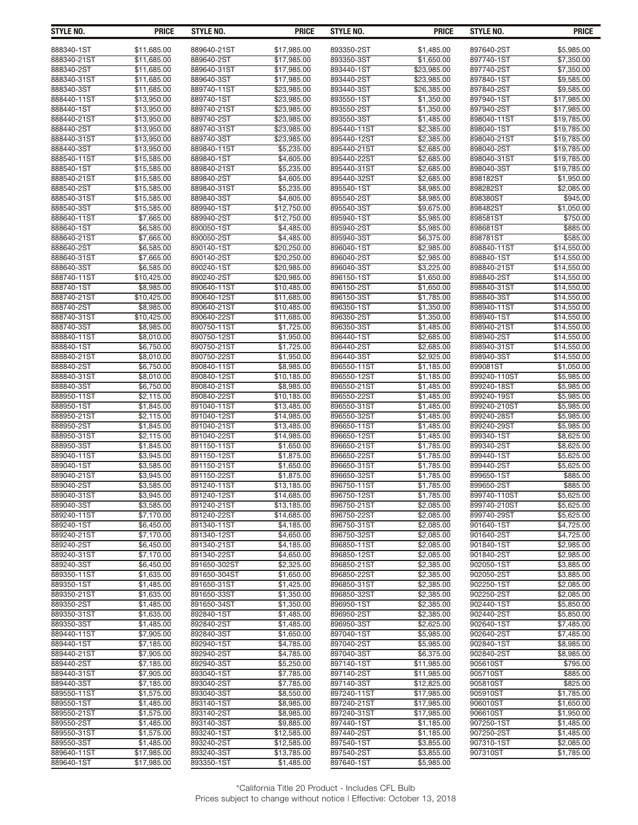| STYLE NO.                 | <b>PRICE</b>               | STYLE NO.                  | <b>PRICE</b>               | <b>STYLE NO.</b>           | <b>PRICE</b>             | <b>STYLE NO.</b>            | <b>PRICE</b>             |
|---------------------------|----------------------------|----------------------------|----------------------------|----------------------------|--------------------------|-----------------------------|--------------------------|
|                           |                            |                            |                            |                            |                          |                             |                          |
| 888340-1ST<br>888340-21ST | \$11,685.00<br>\$11,685.00 | 889640-21ST<br>889640-2ST  | \$17,985.00<br>\$17,985.00 | 893350-2ST<br>893350-3ST   | \$1,485.00<br>\$1,650.00 | 897640-2ST<br>897740-1ST    | \$5,985.00<br>\$7,350.00 |
| 888340-2ST                | \$11,685.00                | 889640-31ST                | \$17,985.00                | 893440-1ST                 | \$23,985.00              | 897740-2ST                  | \$7,350.00               |
| 888340-31ST               | \$11,685.00                | 889640-3ST                 | \$17,985.00                | 893440-2ST                 | \$23,985.00              | 897840-1ST                  | \$9,585.00               |
| 888340-3ST                | \$11.685.00                | 889740-11ST                | \$23,985.00                | 893440-3ST                 | \$26,385.00              | 897840-2ST                  | \$9,585.00               |
| 888440-11ST               | \$13,950.00                | 889740-1ST                 | \$23,985.00                | 893550-1ST                 | \$1,350.00               | 897940-1ST                  | \$17,985.00              |
| 888440-1ST                | \$13,950.00                | 889740-21ST                | \$23,985.00                | 893550-2ST                 | \$1,350.00               | 897940-2ST                  | \$17,985.00              |
| 888440-21ST               | \$13,950.00                | 889740-2ST                 | \$23,985.00                | 893550-3ST                 | \$1,485.00               | 898040-11ST                 | \$19,785.00              |
| 888440-2ST                | \$13,950.00                | 889740-31ST                | \$23,985.00                | 895440-11ST                | \$2,385.00               | 898040-1ST                  | \$19,785.00              |
| 888440-31ST               | \$13,950.00                | 889740-3ST                 | \$23,985.00                | 895440-12ST                | \$2,385.00               | 898040-21ST                 | \$19,785.00              |
| 888440-3ST                | \$13,950.00                | 889840-11ST                | \$5,235.00                 | 895440-21ST                | \$2,685.00               | 898040-2ST                  | \$19,785.00              |
| 888540-11ST               | \$15,585.00                | 889840-1ST                 | \$4,605.00                 | 895440-22ST                | \$2,685.00               | 898040-31ST                 | \$19,785.00              |
| 888540-1ST                | \$15,585.00                | 889840-21ST                | \$5,235.00                 | 895440-31ST                | \$2,685.00               | 898040-3ST                  | \$19,785.00              |
| 888540-21ST               | \$15,585.00                | 889840-2ST                 | \$4,605.00                 | 895440-32ST                | \$2,685.00               | 898182ST                    | \$1,950.00               |
| 888540-2ST                | \$15,585.00                | 889840-31ST                | \$5,235.00                 | 895540-1ST                 | \$8,985.00               | 898282ST                    | \$2,085.00               |
| 888540-31ST               | \$15,585.00                | 889840-3ST                 | \$4,605.00                 | 895540-2ST                 | \$8,985.00               | 898380ST                    | \$945.00                 |
| 888540-3ST                | \$15,585.00                | 889940-1ST                 | \$12,750.00                | 895540-3ST                 | \$9,675.00               | 898482ST                    | \$1,050.00               |
| 888640-11ST               | \$7,665.00                 | 889940-2ST                 | \$12,750.00                | 895940-1ST                 | \$5,985.00               | 898581ST                    | \$750.00                 |
| 888640-1ST                | \$6,585.00                 | 890050-1ST                 | \$4,485.00                 | 895940-2ST                 | \$5,985.00               | 898681ST                    | \$885.00                 |
| 888640-21ST               | \$7,665.00                 | 890050-2ST                 | \$4,485.00                 | 895940-3ST                 | \$6,375.00               | 898781ST                    | \$585.00                 |
| 888640-2ST                | \$6,585.00                 | 890140-1ST                 | \$20,250.00                | 896040-1ST                 | \$2,985.00               | 898840-11ST                 | \$14,550.00              |
| 888640-31ST               | \$7,665.00                 | 890140-2ST                 | \$20,250.00                | 896040-2ST                 | \$2,985.00               | 898840-1ST                  | \$14,550.00              |
| 888640-3ST                | \$6,585.00                 | 890240-1ST                 | \$20.985.00                | 896040-3ST                 | \$3,225.00               | 898840-21ST                 | \$14,550.00              |
| 888740-11ST               | \$10,425.00                | 890240-2ST                 | \$20,985.00                | 896150-1ST                 | \$1,650.00               | 898840-2ST                  | \$14,550.00              |
| 888740-1ST                | \$8,985.00                 | 890640-11ST                | \$10,485.00                | 896150-2ST                 | \$1,650.00               | 898840-31ST                 | \$14,550.00              |
| 888740-21ST               | \$10,425.00                | 890640-12ST                | \$11,685.00                | 896150-3ST                 | \$1,785.00               | 898840-3ST                  | \$14,550.00              |
| 888740-2ST                | \$8,985.00                 | 890640-21ST                | \$10,485.00                | 896350-1ST                 | \$1,350.00               | 898940-11ST                 | \$14,550.00              |
| 888740-31ST               | \$10,425.00                | 890640-22ST                | \$11,685.00                | 896350-2ST                 | \$1,350.00               | 898940-1ST                  | \$14,550.00              |
| 888740-3ST                | \$8,985.00                 | 890750-11ST                | \$1,725.00                 | 896350-3ST                 | \$1,485.00               | 898940-21ST                 | \$14,550.00              |
| 888840-11ST               | \$8,010.00                 | 890750-12ST                | \$1,950.00                 | 896440-1ST                 | \$2,685.00               | 898940-2ST                  | \$14,550.00              |
| 888840-1ST                | \$6,750.00                 | 890750-21ST                | \$1,725.00                 | 896440-2ST                 | \$2,685.00               | 898940-31ST                 | \$14,550.00              |
| 888840-21ST               | \$8,010.00                 | 890750-22ST                | \$1,950.00                 | 896440-3ST                 | \$2,925.00               | 898940-3ST                  | \$14,550.00              |
| 888840-2ST                | \$6,750.00                 | 890840-11ST                | \$8,985.00                 | 896550-11ST                | \$1,185.00               | 899081ST                    | \$1,050.00               |
| 888840-31ST               | \$8,010.00                 | 890840-12ST                | \$10,185.00                | 896550-12ST                | \$1,185.00               | 899240-110ST                | \$5,985.00               |
| 888840-3ST                | \$6,750.00                 | 890840-21ST                | \$8,985.00                 | 896550-21ST                | \$1,485.00               | 899240-18ST                 | \$5,985.00               |
| 888950-11ST<br>888950-1ST | \$2,115.00<br>\$1,845.00   | 890840-22ST<br>891040-11ST | \$10,185.00<br>\$13,485.00 | 896550-22ST<br>896550-31ST | \$1,485.00<br>\$1,485.00 | 899240-19ST<br>899240-210ST | \$5,985.00<br>\$5,985.00 |
| 888950-21ST               | \$2,115.00                 | 891040-12ST                | \$14,985.00                | 896550-32ST                | \$1,485.00               | 899240-28ST                 | \$5,985.00               |
| 888950-2ST                | \$1,845.00                 | 891040-21ST                | \$13,485.00                | 896650-11ST                | \$1,485.00               | 899240-29ST                 | \$5,985.00               |
| 888950-31ST               | \$2,115.00                 | 891040-22ST                | \$14,985.00                | 896650-12ST                | \$1,485.00               | 899340-1ST                  | \$8,625.00               |
| 888950-3ST                | \$1,845.00                 | 891150-11ST                | \$1,650.00                 | 896650-21ST                | \$1,785.00               | 899340-2ST                  | \$8,625.00               |
| 889040-11ST               | \$3,945.00                 | 891150-12ST                | \$1,875.00                 | 896650-22ST                | \$1,785.00               | 899440-1ST                  | \$5,625.00               |
| 889040-1ST                | \$3,585.00                 | 891150-21ST                | \$1,650.00                 | 896650-31ST                | \$1,785.00               | 899440-2ST                  | \$5,625.00               |
| 889040-21ST               | \$3,945.00                 | 891150-22ST                | \$1,875.00                 | 896650-32ST                | \$1,785.00               | 899650-1ST                  | \$885.00                 |
| 889040-2ST                | \$3,585.00                 | 891240-11ST                | \$13,185.00                | 896750-11ST                | \$1,785.00               | 899650-2ST                  | \$885.00                 |
| 889040-31ST               | \$3,945.00                 | 891240-12ST                | \$14,685.00                | 896750-12ST                | \$1,785.00               | 899740-110ST                | \$5,625.00               |
| 889040-3ST                | \$3,585.00                 | 891240-21ST                | \$13,185.00                | 896750-21ST                | \$2.085.00               | 899740-210ST                | \$5,625.00               |
| 889240-11ST               | \$7,170.00                 | 891240-22ST                | \$14,685.00                | 896750-22ST                | \$2.085.00               | 899740-29ST                 | \$5,625.00               |
| 889240-1ST                | \$6.450.00                 | 891340-11ST                | \$4,185.00                 | 896750-31ST                | \$2,085.00               | 901640-1ST                  | \$4,725.00               |
| 889240-21ST               | \$7,170.00                 | 891340-12ST                | \$4,650.00                 | 896750-32ST                | \$2.085.00               | 901640-2ST                  | \$4,725.00               |
| 889240-2ST                | \$6,450.00                 | 891340-21ST                | \$4,185.00                 | 896850-11ST                | \$2,085.00               | 901840-1ST                  | \$2,985.00               |
| 889240-31ST               | \$7,170.00                 | 891340-22ST                | \$4,650.00                 | 896850-12ST                | \$2.085.00               | 901840-2ST                  | \$2,985.00               |
| 889240-3ST                | \$6,450.00                 | 891650-302ST               | \$2,325.00                 | 896850-21ST                | \$2,385.00               | 902050-1ST                  | \$3,885.00               |
| 889350-11ST               | \$1,635.00                 | 891650-304ST               | \$1,650.00                 | 896850-22ST                | \$2,385.00               | 902050-2ST                  | \$3,885.00               |
| 889350-1ST                | \$1.485.00                 | 891650-31ST                | \$1,425.00                 | 896850-31ST                | \$2,385.00               | 902250-1ST                  | \$2,085.00               |
| 889350-21ST               | \$1,635.00                 | 891650-33ST                | \$1,350.00                 | 896850-32ST                | \$2,385.00               | 902250-2ST                  | \$2,085.00               |
| 889350-2ST                | \$1,485.00                 | 891650-34ST                | \$1,350.00                 | 896950-1ST                 | \$2,385.00               | 902440-1ST                  | \$5.850.00               |
| 889350-31ST               | \$1,635.00                 | 892840-1ST                 | \$1,485.00                 | 896950-2ST                 | \$2,385.00               | 902440-2ST                  | \$5,850.00               |
| 889350-3ST                | \$1,485.00                 | 892840-2ST                 | \$1,485.00                 | 896950-3ST                 | \$2,625.00               | 902640-1ST                  | \$7,485.00               |
| 889440-11ST               | \$7,905.00                 | 892840-3ST                 | \$1,650.00                 | 897040-1ST                 | \$5,985.00               | 902640-2ST                  | \$7,485.00               |
| 889440-1ST                | \$7,185.00                 | 892940-1ST                 | \$4,785.00                 | 897040-2ST                 | \$5,985.00               | 902840-1ST                  | \$8,985.00               |
| 889440-21ST               | \$7,905.00                 | 892940-2ST                 | \$4,785.00                 | 897040-3ST                 | \$6,375.00               | 902840-2ST                  | \$8,985.00               |
| 889440-2ST                | \$7,185.00                 | 892940-3ST                 | \$5,250.00                 | 897140-1ST                 | \$11,985.00              | 905610ST                    | \$795.00                 |
| 889440-31ST               | \$7,905.00                 | 893040-1ST                 | \$7,785.00                 | 897140-2ST                 | \$11,985.00              | 905710ST                    | \$885.00                 |
| 889440-3ST                | \$7,185.00                 | 893040-2ST                 | \$7,785.00                 | 897140-3ST                 | \$12,825.00              | 905810ST                    | \$825.00                 |
| 889550-11ST               | \$1,575.00                 | 893040-3ST                 | \$8,550.00                 | 897240-11ST                | \$17,985.00              | 905910ST                    | \$1,785.00               |
| 889550-1ST                | \$1,485.00                 | 893140-1ST                 | \$8,985.00                 | 897240-21ST                | \$17,985.00              | 906010ST                    | \$1,650.00               |
| 889550-21ST               | \$1,575.00                 | 893140-2ST                 | \$8,985.00                 | 897240-31ST                | \$17,985.00              | 906610ST                    | \$1,950.00               |
| 889550-2ST                | \$1,485.00                 | 893140-3ST                 | \$9,885.00                 | 897440-1ST                 | \$1,185.00               | 907250-1ST                  | \$1,485.00               |
| 889550-31ST               | \$1,575.00                 | 893240-1ST                 | \$12,585.00                | 897440-2ST                 | \$1,185.00               | 907250-2ST                  | \$1,485.00               |
| 889550-3ST                | \$1,485.00                 | 893240-2ST                 | \$12,585.00                | 897540-1ST                 | \$3,855.00               | 907310-1ST                  | \$2,085.00               |
| 889640-11ST               | \$17,985.00                | 893240-3ST                 | \$13,785.00                | 897540-2ST                 | \$3,855.00               | 907310ST                    | \$1,785.00               |
| 889640-1ST                | \$17,985.00                | 893350-1ST                 | \$1,485.00                 | 897640-1ST                 | \$5,985.00               |                             |                          |